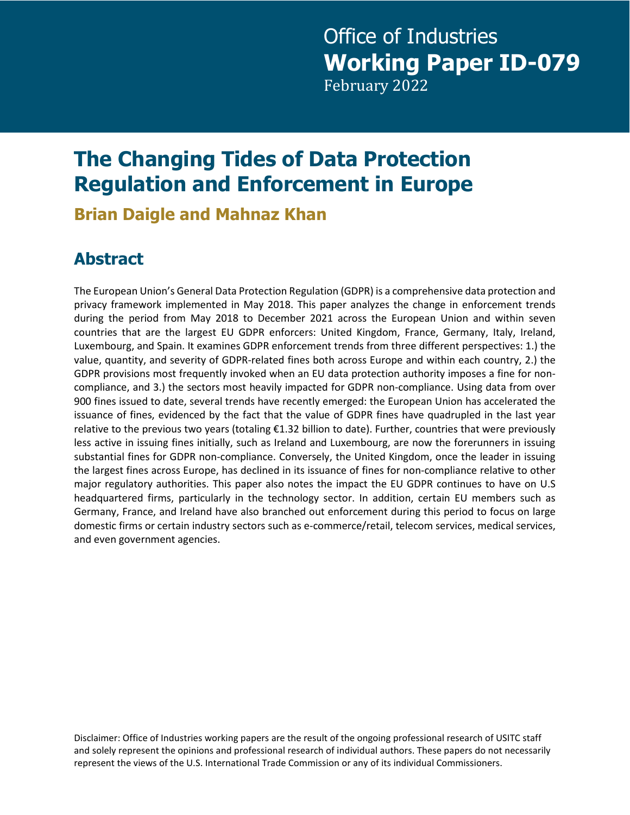# Office of Industries **Working Paper ID-079** February 2022

# **The Changing Tides of Data Protection Regulation and Enforcement in Europe**

**Brian Daigle and Mahnaz Khan**

# **Abstract**

The European Union's General Data Protection Regulation (GDPR) is a comprehensive data protection and privacy framework implemented in May 2018. This paper analyzes the change in enforcement trends during the period from May 2018 to December 2021 across the European Union and within seven countries that are the largest EU GDPR enforcers: United Kingdom, France, Germany, Italy, Ireland, Luxembourg, and Spain. It examines GDPR enforcement trends from three different perspectives: 1.) the value, quantity, and severity of GDPR-related fines both across Europe and within each country, 2.) the GDPR provisions most frequently invoked when an EU data protection authority imposes a fine for noncompliance, and 3.) the sectors most heavily impacted for GDPR non-compliance. Using data from over 900 fines issued to date, several trends have recently emerged: the European Union has accelerated the issuance of fines, evidenced by the fact that the value of GDPR fines have quadrupled in the last year relative to the previous two years (totaling €1.32 billion to date). Further, countries that were previously less active in issuing fines initially, such as Ireland and Luxembourg, are now the forerunners in issuing substantial fines for GDPR non-compliance. Conversely, the United Kingdom, once the leader in issuing the largest fines across Europe, has declined in its issuance of fines for non-compliance relative to other major regulatory authorities. This paper also notes the impact the EU GDPR continues to have on U.S headquartered firms, particularly in the technology sector. In addition, certain EU members such as Germany, France, and Ireland have also branched out enforcement during this period to focus on large domestic firms or certain industry sectors such as e-commerce/retail, telecom services, medical services, and even government agencies.

Disclaimer: Office of Industries working papers are the result of the ongoing professional research of USITC staff and solely represent the opinions and professional research of individual authors. These papers do not necessarily represent the views of the U.S. International Trade Commission or any of its individual Commissioners.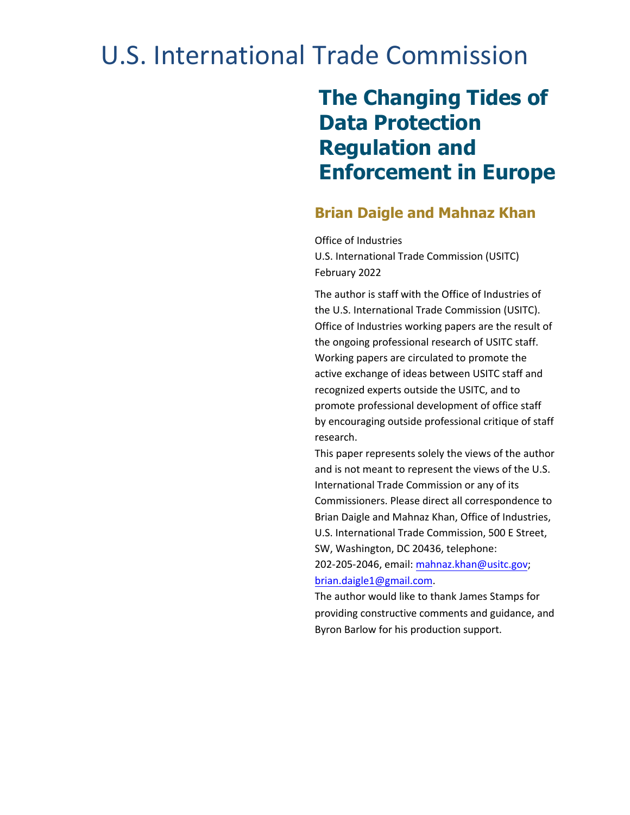# U.S. International Trade Commission

# **The Changing Tides of Data Protection Regulation and Enforcement in Europe**

#### **Brian Daigle and Mahnaz Khan**

Office of Industries U.S. International Trade Commission (USITC) February 2022

The author is staff with the Office of Industries of the U.S. International Trade Commission (USITC). Office of Industries working papers are the result of the ongoing professional research of USITC staff. Working papers are circulated to promote the active exchange of ideas between USITC staff and recognized experts outside the USITC, and to promote professional development of office staff by encouraging outside professional critique of staff research.

This paper represents solely the views of the author and is not meant to represent the views of the U.S. International Trade Commission or any of its Commissioners. Please direct all correspondence to Brian Daigle and Mahnaz Khan, Office of Industries, U.S. International Trade Commission, 500 E Street, SW, Washington, DC 20436, telephone: 202-205-2046, email: [mahnaz.khan@usitc.gov;](mailto:mahnaz.khan@usitc.gov)

#### [brian.daigle1@gmail.com.](mailto:brian.daigle1@gmail.com)

The author would like to thank James Stamps for providing constructive comments and guidance, and Byron Barlow for his production support.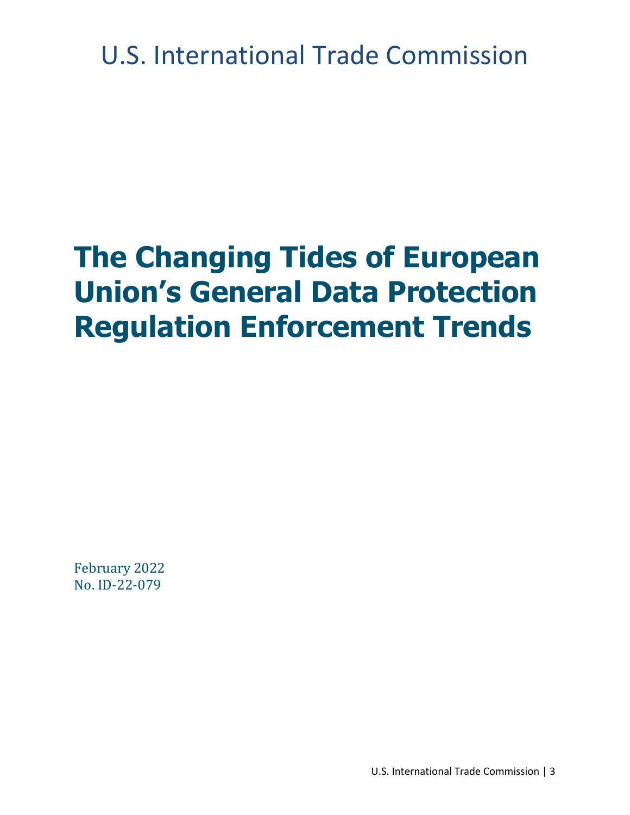U.S. International Trade Commission

# **The Changing Tides of European Union's General Data Protection Regulation Enforcement Trends**

February 2022 No. ID-22-079

U.S. International Trade Commission | 3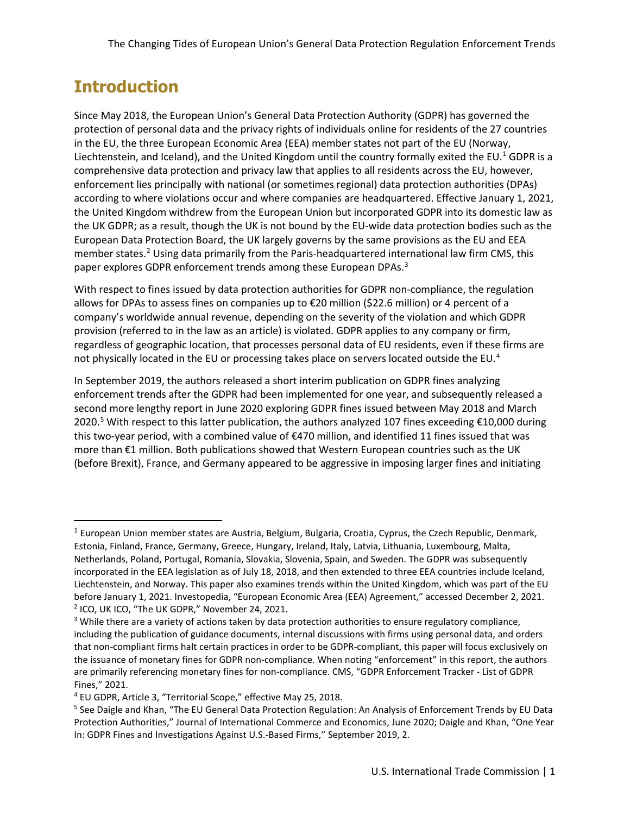#### **Introduction**

Since May 2018, the European Union's General Data Protection Authority (GDPR) has governed the protection of personal data and the privacy rights of individuals online for residents of the 27 countries in the EU, the three European Economic Area (EEA) member states not part of the EU (Norway, Liechtenstein, and Iceland), and the United Kingdom until the country formally exited the EU.<sup>[1](#page-4-0)</sup> GDPR is a comprehensive data protection and privacy law that applies to all residents across the EU, however, enforcement lies principally with national (or sometimes regional) data protection authorities (DPAs) according to where violations occur and where companies are headquartered. Effective January 1, 2021, the United Kingdom withdrew from the European Union but incorporated GDPR into its domestic law as the UK GDPR; as a result, though the UK is not bound by the EU-wide data protection bodies such as the European Data Protection Board, the UK largely governs by the same provisions as the EU and EEA member states.<sup>[2](#page-4-1)</sup> Using data primarily from the Paris-headquartered international law firm CMS, this paper explores GDPR enforcement trends among these European DPAs.<sup>3</sup>

With respect to fines issued by data protection authorities for GDPR non-compliance, the regulation allows for DPAs to assess fines on companies up to €20 million (\$22.6 million) or 4 percent of a company's worldwide annual revenue, depending on the severity of the violation and which GDPR provision (referred to in the law as an article) is violated. GDPR applies to any company or firm, regardless of geographic location, that processes personal data of EU residents, even if these firms are not physically located in the EU or processing takes place on servers located outside the EU.<sup>[4](#page-4-3)</sup>

In September 2019, the authors released a short interim publication on GDPR fines analyzing enforcement trends after the GDPR had been implemented for one year, and subsequently released a second more lengthy report in June 2020 exploring GDPR fines issued between May 2018 and March 2020.[5](#page-4-4) With respect to this latter publication, the authors analyzed 107 fines exceeding €10,000 during this two-year period, with a combined value of €470 million, and identified 11 fines issued that was more than €1 million. Both publications showed that Western European countries such as the UK (before Brexit), France, and Germany appeared to be aggressive in imposing larger fines and initiating

<span id="page-4-0"></span><sup>&</sup>lt;sup>1</sup> European Union member states are Austria, Belgium, Bulgaria, Croatia, Cyprus, the Czech Republic, Denmark, Estonia, Finland, France, Germany, Greece, Hungary, Ireland, Italy, Latvia, Lithuania, Luxembourg, Malta, Netherlands, Poland, Portugal, Romania, Slovakia, Slovenia, Spain, and Sweden. The GDPR was subsequently incorporated in the EEA legislation as of July 18, 2018, and then extended to three EEA countries include Iceland, Liechtenstein, and Norway. This paper also examines trends within the United Kingdom, which was part of the EU before January 1, 2021. Investopedia, "European Economic Area (EEA) Agreement," accessed December 2, 2021. <sup>2</sup> ICO, UK ICO, "The UK GDPR," November 24, 2021.

<span id="page-4-2"></span><span id="page-4-1"></span><sup>&</sup>lt;sup>3</sup> While there are a variety of actions taken by data protection authorities to ensure regulatory compliance, including the publication of guidance documents, internal discussions with firms using personal data, and orders that non-compliant firms halt certain practices in order to be GDPR-compliant, this paper will focus exclusively on the issuance of monetary fines for GDPR non-compliance. When noting "enforcement" in this report, the authors are primarily referencing monetary fines for non-compliance. CMS, "GDPR Enforcement Tracker - List of GDPR Fines," 2021.

<span id="page-4-3"></span><sup>4</sup> EU GDPR, Article 3, "Territorial Scope," effective May 25, 2018.

<span id="page-4-4"></span><sup>5</sup> See Daigle and Khan, "The EU General Data Protection Regulation: An Analysis of Enforcement Trends by EU Data Protection Authorities," Journal of International Commerce and Economics, June 2020; Daigle and Khan, "One Year In: GDPR Fines and Investigations Against U.S.-Based Firms," September 2019, 2.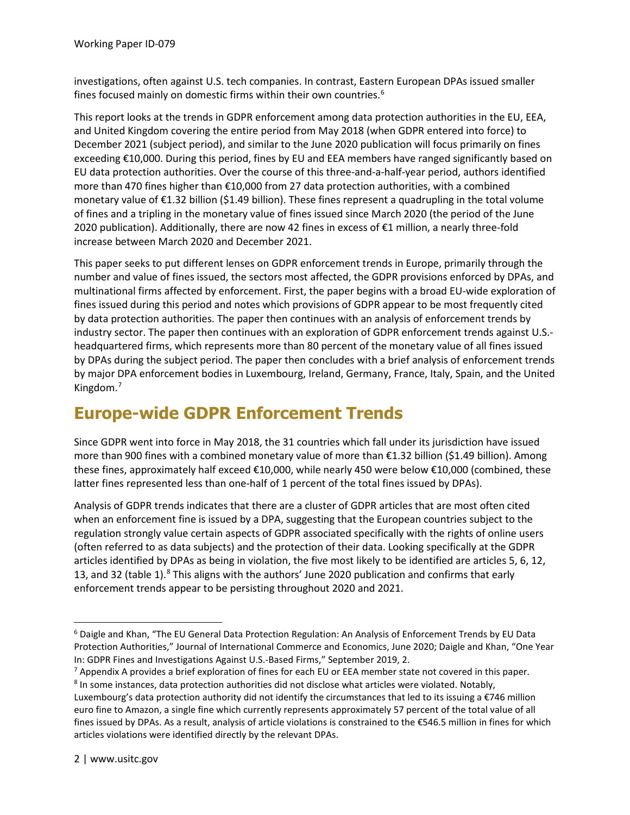investigations, often against U.S. tech companies. In contrast, Eastern European DPAs issued smaller fines focused mainly on domestic firms within their own countries.[6](#page-5-0)

This report looks at the trends in GDPR enforcement among data protection authorities in the EU, EEA, and United Kingdom covering the entire period from May 2018 (when GDPR entered into force) to December 2021 (subject period), and similar to the June 2020 publication will focus primarily on fines exceeding €10,000. During this period, fines by EU and EEA members have ranged significantly based on EU data protection authorities. Over the course of this three-and-a-half-year period, authors identified more than 470 fines higher than €10,000 from 27 data protection authorities, with a combined monetary value of €1.32 billion (\$1.49 billion). These fines represent a quadrupling in the total volume of fines and a tripling in the monetary value of fines issued since March 2020 (the period of the June 2020 publication). Additionally, there are now 42 fines in excess of €1 million, a nearly three-fold increase between March 2020 and December 2021.

This paper seeks to put different lenses on GDPR enforcement trends in Europe, primarily through the number and value of fines issued, the sectors most affected, the GDPR provisions enforced by DPAs, and multinational firms affected by enforcement. First, the paper begins with a broad EU-wide exploration of fines issued during this period and notes which provisions of GDPR appear to be most frequently cited by data protection authorities. The paper then continues with an analysis of enforcement trends by industry sector. The paper then continues with an exploration of GDPR enforcement trends against U.S. headquartered firms, which represents more than 80 percent of the monetary value of all fines issued by DPAs during the subject period. The paper then concludes with a brief analysis of enforcement trends by major DPA enforcement bodies in Luxembourg, Ireland, Germany, France, Italy, Spain, and the United Kingdom.[7](#page-5-1)

#### **Europe-wide GDPR Enforcement Trends**

Since GDPR went into force in May 2018, the 31 countries which fall under its jurisdiction have issued more than 900 fines with a combined monetary value of more than €1.32 billion (\$1.49 billion). Among these fines, approximately half exceed €10,000, while nearly 450 were below €10,000 (combined, these latter fines represented less than one-half of 1 percent of the total fines issued by DPAs).

Analysis of GDPR trends indicates that there are a cluster of GDPR articles that are most often cited when an enforcement fine is issued by a DPA, suggesting that the European countries subject to the regulation strongly value certain aspects of GDPR associated specifically with the rights of online users (often referred to as data subjects) and the protection of their data. Looking specifically at the GDPR articles identified by DPAs as being in violation, the five most likely to be identified are articles 5, 6, 12, 13, and 32 (table 1).<sup>[8](#page-5-2)</sup> This aligns with the authors' June 2020 publication and confirms that early enforcement trends appear to be persisting throughout 2020 and 2021.

<span id="page-5-0"></span><sup>6</sup> Daigle and Khan, "The EU General Data Protection Regulation: An Analysis of Enforcement Trends by EU Data Protection Authorities," Journal of International Commerce and Economics, June 2020; Daigle and Khan, "One Year In: GDPR Fines and Investigations Against U.S.-Based Firms," September 2019, 2.

<span id="page-5-1"></span> $<sup>7</sup>$  Appendix A provides a brief exploration of fines for each EU or EEA member state not covered in this paper.</sup> <sup>8</sup> In some instances, data protection authorities did not disclose what articles were violated. Notably,

<span id="page-5-2"></span>Luxembourg's data protection authority did not identify the circumstances that led to its issuing a  $\epsilon$ 746 million euro fine to Amazon, a single fine which currently represents approximately 57 percent of the total value of all fines issued by DPAs. As a result, analysis of article violations is constrained to the €546.5 million in fines for which articles violations were identified directly by the relevant DPAs.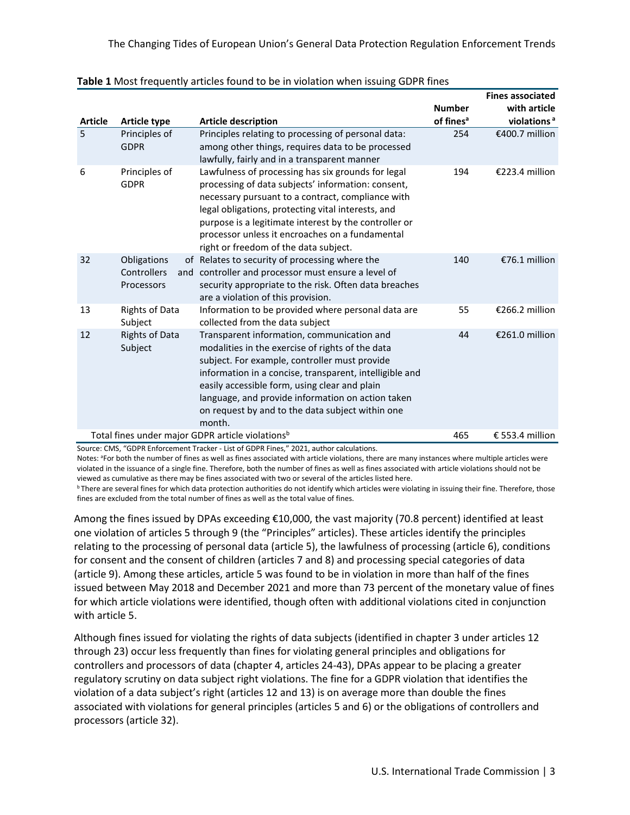|                |                                          |                                                                                                                                                                                                                                                                                                                                                                                |                                        | <b>Fines associated</b>                 |
|----------------|------------------------------------------|--------------------------------------------------------------------------------------------------------------------------------------------------------------------------------------------------------------------------------------------------------------------------------------------------------------------------------------------------------------------------------|----------------------------------------|-----------------------------------------|
| <b>Article</b> | <b>Article type</b>                      | <b>Article description</b>                                                                                                                                                                                                                                                                                                                                                     | <b>Number</b><br>of fines <sup>a</sup> | with article<br>violations <sup>a</sup> |
| 5              | Principles of<br><b>GDPR</b>             | Principles relating to processing of personal data:<br>among other things, requires data to be processed<br>lawfully, fairly and in a transparent manner                                                                                                                                                                                                                       | 254                                    | €400.7 million                          |
| 6              | Principles of<br><b>GDPR</b>             | Lawfulness of processing has six grounds for legal<br>processing of data subjects' information: consent,<br>necessary pursuant to a contract, compliance with<br>legal obligations, protecting vital interests, and<br>purpose is a legitimate interest by the controller or<br>processor unless it encroaches on a fundamental<br>right or freedom of the data subject.       | 194                                    | €223.4 million                          |
| 32             | Obligations<br>Controllers<br>Processors | of Relates to security of processing where the<br>and controller and processor must ensure a level of<br>security appropriate to the risk. Often data breaches<br>are a violation of this provision.                                                                                                                                                                           | 140                                    | €76.1 million                           |
| 13             | <b>Rights of Data</b><br>Subject         | Information to be provided where personal data are<br>collected from the data subject                                                                                                                                                                                                                                                                                          | 55                                     | €266.2 million                          |
| 12             | <b>Rights of Data</b><br>Subject         | Transparent information, communication and<br>modalities in the exercise of rights of the data<br>subject. For example, controller must provide<br>information in a concise, transparent, intelligible and<br>easily accessible form, using clear and plain<br>language, and provide information on action taken<br>on request by and to the data subject within one<br>month. | 44                                     | €261.0 million                          |
|                |                                          | Total fines under major GDPR article violations <sup>b</sup>                                                                                                                                                                                                                                                                                                                   | 465                                    | € 553.4 million                         |

|  |  |  | Table 1 Most frequently articles found to be in violation when issuing GDPR fines |  |
|--|--|--|-----------------------------------------------------------------------------------|--|
|--|--|--|-----------------------------------------------------------------------------------|--|

Source: CMS, "GDPR Enforcement Tracker - List of GDPR Fines," 2021, author calculations.

Notes: <sup>a</sup>For both the number of fines as well as fines associated with article violations, there are many instances where multiple articles were violated in the issuance of a single fine. Therefore, both the number of fines as well as fines associated with article violations should not be viewed as cumulative as there may be fines associated with two or several of the articles listed here.

<sup>b</sup> There are several fines for which data protection authorities do not identify which articles were violating in issuing their fine. Therefore, those fines are excluded from the total number of fines as well as the total value of fines.

Among the fines issued by DPAs exceeding €10,000, the vast majority (70.8 percent) identified at least one violation of articles 5 through 9 (the "Principles" articles). These articles identify the principles relating to the processing of personal data (article 5), the lawfulness of processing (article 6), conditions for consent and the consent of children (articles 7 and 8) and processing special categories of data (article 9). Among these articles, article 5 was found to be in violation in more than half of the fines issued between May 2018 and December 2021 and more than 73 percent of the monetary value of fines for which article violations were identified, though often with additional violations cited in conjunction with article 5.

Although fines issued for violating the rights of data subjects (identified in chapter 3 under articles 12 through 23) occur less frequently than fines for violating general principles and obligations for controllers and processors of data (chapter 4, articles 24-43), DPAs appear to be placing a greater regulatory scrutiny on data subject right violations. The fine for a GDPR violation that identifies the violation of a data subject's right (articles 12 and 13) is on average more than double the fines associated with violations for general principles (articles 5 and 6) or the obligations of controllers and processors (article 32).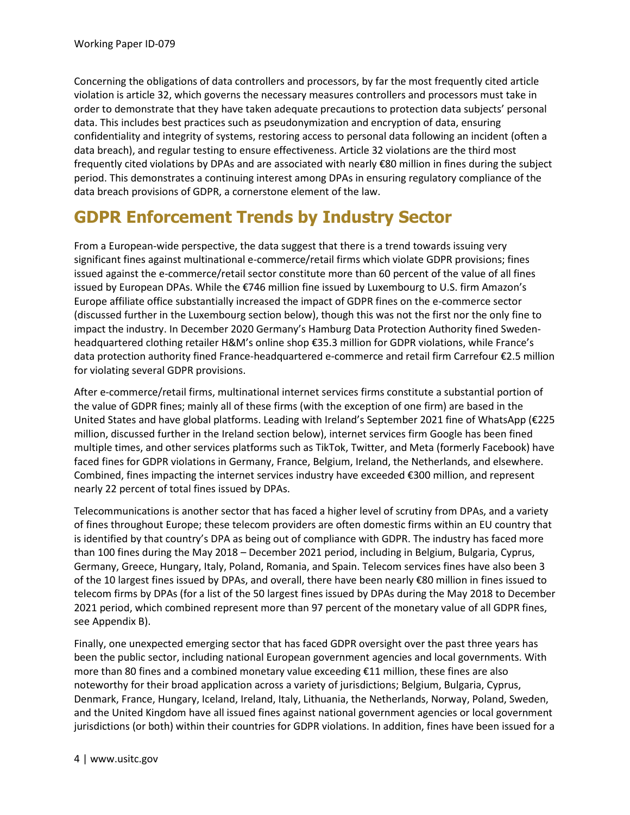Concerning the obligations of data controllers and processors, by far the most frequently cited article violation is article 32, which governs the necessary measures controllers and processors must take in order to demonstrate that they have taken adequate precautions to protection data subjects' personal data. This includes best practices such as pseudonymization and encryption of data, ensuring confidentiality and integrity of systems, restoring access to personal data following an incident (often a data breach), and regular testing to ensure effectiveness. Article 32 violations are the third most frequently cited violations by DPAs and are associated with nearly €80 million in fines during the subject period. This demonstrates a continuing interest among DPAs in ensuring regulatory compliance of the data breach provisions of GDPR, a cornerstone element of the law.

#### **GDPR Enforcement Trends by Industry Sector**

From a European-wide perspective, the data suggest that there is a trend towards issuing very significant fines against multinational e-commerce/retail firms which violate GDPR provisions; fines issued against the e-commerce/retail sector constitute more than 60 percent of the value of all fines issued by European DPAs. While the €746 million fine issued by Luxembourg to U.S. firm Amazon's Europe affiliate office substantially increased the impact of GDPR fines on the e-commerce sector (discussed further in the Luxembourg section below), though this was not the first nor the only fine to impact the industry. In December 2020 Germany's Hamburg Data Protection Authority fined Swedenheadquartered clothing retailer H&M's online shop €35.3 million for GDPR violations, while France's data protection authority fined France-headquartered e-commerce and retail firm Carrefour €2.5 million for violating several GDPR provisions.

After e-commerce/retail firms, multinational internet services firms constitute a substantial portion of the value of GDPR fines; mainly all of these firms (with the exception of one firm) are based in the United States and have global platforms. Leading with Ireland's September 2021 fine of WhatsApp (€225 million, discussed further in the Ireland section below), internet services firm Google has been fined multiple times, and other services platforms such as TikTok, Twitter, and Meta (formerly Facebook) have faced fines for GDPR violations in Germany, France, Belgium, Ireland, the Netherlands, and elsewhere. Combined, fines impacting the internet services industry have exceeded €300 million, and represent nearly 22 percent of total fines issued by DPAs.

Telecommunications is another sector that has faced a higher level of scrutiny from DPAs, and a variety of fines throughout Europe; these telecom providers are often domestic firms within an EU country that is identified by that country's DPA as being out of compliance with GDPR. The industry has faced more than 100 fines during the May 2018 – December 2021 period, including in Belgium, Bulgaria, Cyprus, Germany, Greece, Hungary, Italy, Poland, Romania, and Spain. Telecom services fines have also been 3 of the 10 largest fines issued by DPAs, and overall, there have been nearly €80 million in fines issued to telecom firms by DPAs (for a list of the 50 largest fines issued by DPAs during the May 2018 to December 2021 period, which combined represent more than 97 percent of the monetary value of all GDPR fines, see Appendix B).

Finally, one unexpected emerging sector that has faced GDPR oversight over the past three years has been the public sector, including national European government agencies and local governments. With more than 80 fines and a combined monetary value exceeding €11 million, these fines are also noteworthy for their broad application across a variety of jurisdictions; Belgium, Bulgaria, Cyprus, Denmark, France, Hungary, Iceland, Ireland, Italy, Lithuania, the Netherlands, Norway, Poland, Sweden, and the United Kingdom have all issued fines against national government agencies or local government jurisdictions (or both) within their countries for GDPR violations. In addition, fines have been issued for a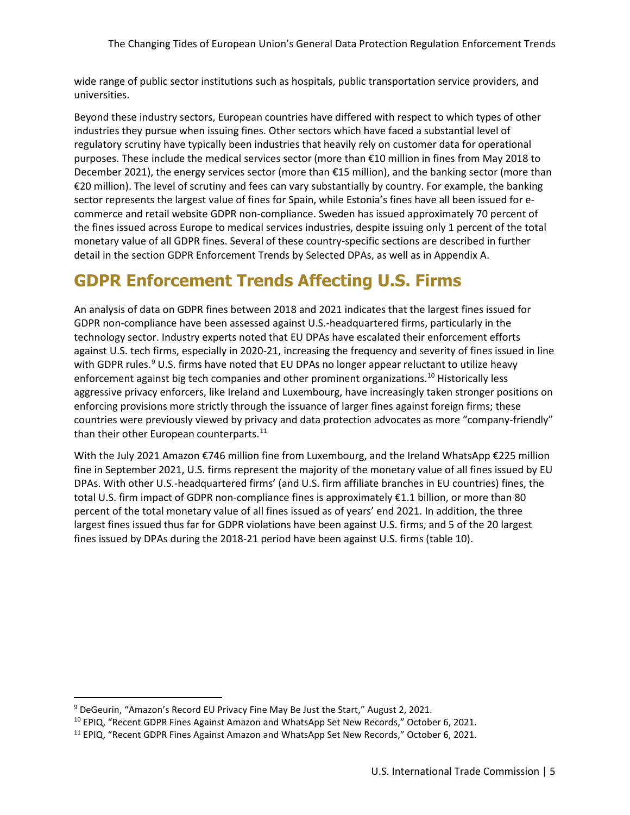wide range of public sector institutions such as hospitals, public transportation service providers, and universities.

Beyond these industry sectors, European countries have differed with respect to which types of other industries they pursue when issuing fines. Other sectors which have faced a substantial level of regulatory scrutiny have typically been industries that heavily rely on customer data for operational purposes. These include the medical services sector (more than €10 million in fines from May 2018 to December 2021), the energy services sector (more than €15 million), and the banking sector (more than €20 million). The level of scrutiny and fees can vary substantially by country. For example, the banking sector represents the largest value of fines for Spain, while Estonia's fines have all been issued for ecommerce and retail website GDPR non-compliance. Sweden has issued approximately 70 percent of the fines issued across Europe to medical services industries, despite issuing only 1 percent of the total monetary value of all GDPR fines. Several of these country-specific sections are described in further detail in the section GDPR Enforcement Trends by Selected DPAs, as well as in Appendix A.

### **GDPR Enforcement Trends Affecting U.S. Firms**

An analysis of data on GDPR fines between 2018 and 2021 indicates that the largest fines issued for GDPR non-compliance have been assessed against U.S.-headquartered firms, particularly in the technology sector. Industry experts noted that EU DPAs have escalated their enforcement efforts against U.S. tech firms, especially in 2020-21, increasing the frequency and severity of fines issued in line with GDPR rules.<sup>9</sup> U.S. firms have noted that EU DPAs no longer appear reluctant to utilize heavy enforcement against big tech companies and other prominent organizations.<sup>[10](#page-8-1)</sup> Historically less aggressive privacy enforcers, like Ireland and Luxembourg, have increasingly taken stronger positions on enforcing provisions more strictly through the issuance of larger fines against foreign firms; these countries were previously viewed by privacy and data protection advocates as more "company-friendly" than their other European counterparts. $11$ 

With the July 2021 Amazon €746 million fine from Luxembourg, and the Ireland WhatsApp €225 million fine in September 2021, U.S. firms represent the majority of the monetary value of all fines issued by EU DPAs. With other U.S.-headquartered firms' (and U.S. firm affiliate branches in EU countries) fines, the total U.S. firm impact of GDPR non-compliance fines is approximately €1.1 billion, or more than 80 percent of the total monetary value of all fines issued as of years' end 2021. In addition, the three largest fines issued thus far for GDPR violations have been against U.S. firms, and 5 of the 20 largest fines issued by DPAs during the 2018-21 period have been against U.S. firms (table 10).

<span id="page-8-0"></span><sup>&</sup>lt;sup>9</sup> DeGeurin, "Amazon's Record EU Privacy Fine May Be Just the Start," August 2, 2021.

<span id="page-8-1"></span><sup>&</sup>lt;sup>10</sup> EPIQ, "Recent GDPR Fines Against Amazon and WhatsApp Set New Records," October 6, 2021.

<span id="page-8-2"></span><sup>&</sup>lt;sup>11</sup> EPIQ, "Recent GDPR Fines Against Amazon and WhatsApp Set New Records," October 6, 2021.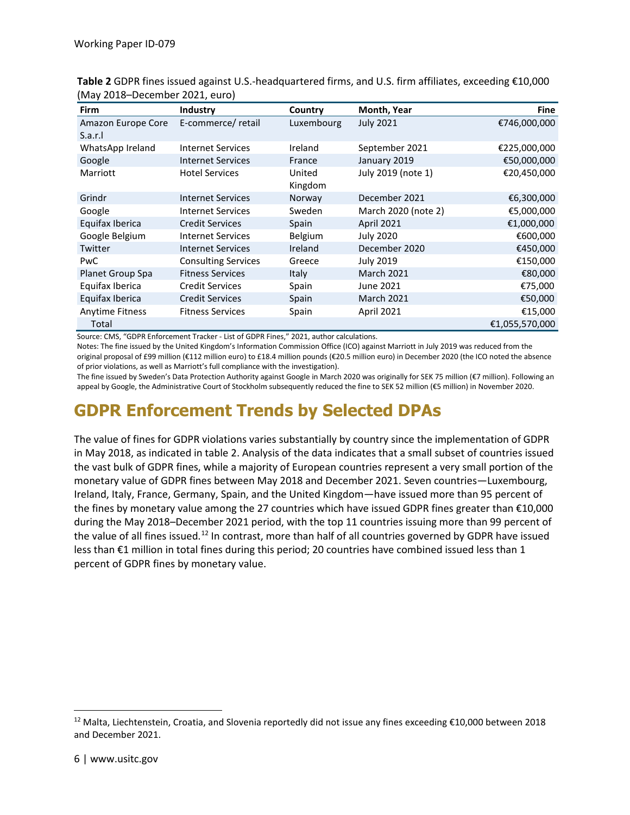| Firm                   | <b>Industry</b>            | Country      | Month, Year         | <b>Fine</b>    |
|------------------------|----------------------------|--------------|---------------------|----------------|
| Amazon Europe Core     | E-commerce/retail          | Luxembourg   | <b>July 2021</b>    | €746,000,000   |
| S.a.r.l                |                            |              |                     |                |
| WhatsApp Ireland       | <b>Internet Services</b>   | Ireland      | September 2021      | €225,000,000   |
| Google                 | <b>Internet Services</b>   | France       | January 2019        | €50,000,000    |
| Marriott               | <b>Hotel Services</b>      | United       | July 2019 (note 1)  | €20,450,000    |
|                        |                            | Kingdom      |                     |                |
| Grindr                 | <b>Internet Services</b>   | Norway       | December 2021       | €6,300,000     |
| Google                 | <b>Internet Services</b>   | Sweden       | March 2020 (note 2) | €5,000,000     |
| Equifax Iberica        | <b>Credit Services</b>     | Spain        | <b>April 2021</b>   | €1,000,000     |
| Google Belgium         | <b>Internet Services</b>   | Belgium      | July 2020           | €600,000       |
| Twitter                | <b>Internet Services</b>   | Ireland      | December 2020       | €450,000       |
| <b>PwC</b>             | <b>Consulting Services</b> | Greece       | July 2019           | €150,000       |
| Planet Group Spa       | <b>Fitness Services</b>    | <b>Italy</b> | <b>March 2021</b>   | €80,000        |
| Equifax Iberica        | <b>Credit Services</b>     | Spain        | June 2021           | €75,000        |
| Equifax Iberica        | <b>Credit Services</b>     | Spain        | <b>March 2021</b>   | €50,000        |
| <b>Anytime Fitness</b> | <b>Fitness Services</b>    | Spain        | April 2021          | €15,000        |
| Total                  |                            |              |                     | €1,055,570,000 |

**Table 2** GDPR fines issued against U.S.-headquartered firms, and U.S. firm affiliates, exceeding €10,000 (May 2018–December 2021, euro)

Source: CMS, "GDPR Enforcement Tracker - List of GDPR Fines," 2021, author calculations.

Notes: The fine issued by the United Kingdom's Information Commission Office (ICO) against Marriott in July 2019 was reduced from the original proposal of £99 million (€112 million euro) to £18.4 million pounds (€20.5 million euro) in December 2020 (the ICO noted the absence of prior violations, as well as Marriott's full compliance with the investigation).

The fine issued by Sweden's Data Protection Authority against Google in March 2020 was originally for SEK 75 million (€7 million). Following an appeal by Google, the Administrative Court of Stockholm subsequently reduced the fine to SEK 52 million (€5 million) in November 2020.

# **GDPR Enforcement Trends by Selected DPAs**

The value of fines for GDPR violations varies substantially by country since the implementation of GDPR in May 2018, as indicated in table 2. Analysis of the data indicates that a small subset of countries issued the vast bulk of GDPR fines, while a majority of European countries represent a very small portion of the monetary value of GDPR fines between May 2018 and December 2021. Seven countries—Luxembourg, Ireland, Italy, France, Germany, Spain, and the United Kingdom—have issued more than 95 percent of the fines by monetary value among the 27 countries which have issued GDPR fines greater than €10,000 during the May 2018–December 2021 period, with the top 11 countries issuing more than 99 percent of the value of all fines issued.<sup>[12](#page-9-0)</sup> In contrast, more than half of all countries governed by GDPR have issued less than €1 million in total fines during this period; 20 countries have combined issued less than 1 percent of GDPR fines by monetary value.

<span id="page-9-0"></span><sup>&</sup>lt;sup>12</sup> Malta, Liechtenstein, Croatia, and Slovenia reportedly did not issue any fines exceeding  $\epsilon$ 10,000 between 2018 and December 2021.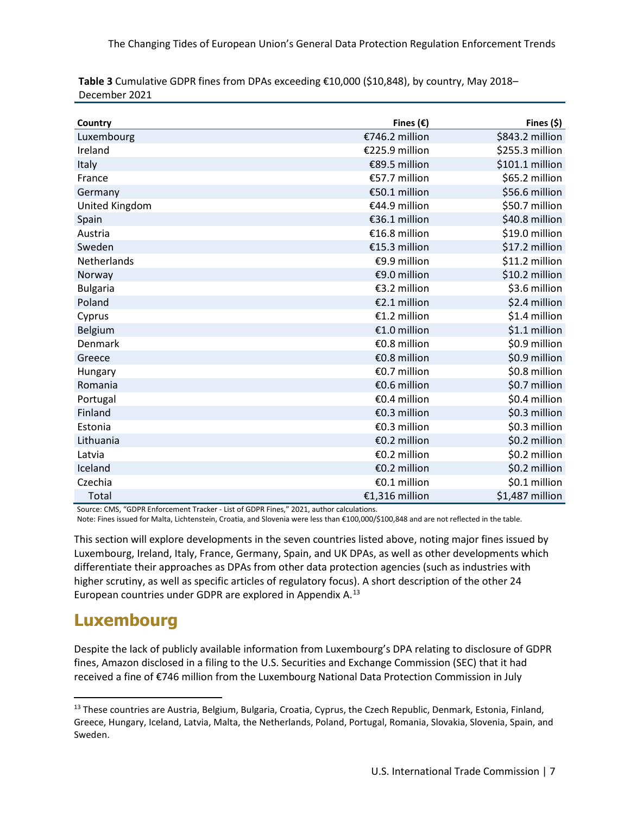| Country            | Fines $(\epsilon)$ | Fines (\$)      |
|--------------------|--------------------|-----------------|
| Luxembourg         | €746.2 million     | \$843.2 million |
| Ireland            | €225.9 million     | \$255.3 million |
| Italy              | €89.5 million      | \$101.1 million |
| France             | €57.7 million      | \$65.2 million  |
| Germany            | €50.1 million      | \$56.6 million  |
| United Kingdom     | €44.9 million      | \$50.7 million  |
| Spain              | €36.1 million      | \$40.8 million  |
| Austria            | €16.8 million      | \$19.0 million  |
| Sweden             | €15.3 million      | \$17.2 million  |
| <b>Netherlands</b> | €9.9 million       | \$11.2 million  |
| Norway             | €9.0 million       | \$10.2 million  |
| <b>Bulgaria</b>    | €3.2 million       | \$3.6 million   |
| Poland             | €2.1 million       | \$2.4 million   |
| Cyprus             | €1.2 million       | \$1.4 million   |
| Belgium            | €1.0 million       | \$1.1 million   |
| <b>Denmark</b>     | €0.8 million       | \$0.9 million   |
| Greece             | €0.8 million       | \$0.9 million   |
| Hungary            | €0.7 million       | \$0.8 million   |
| Romania            | €0.6 million       | \$0.7 million   |
| Portugal           | €0.4 million       | \$0.4 million   |
| Finland            | €0.3 million       | \$0.3 million   |
| Estonia            | €0.3 million       | \$0.3 million   |
| Lithuania          | €0.2 million       | \$0.2 million   |
| Latvia             | €0.2 million       | \$0.2 million   |
| Iceland            | €0.2 million       | \$0.2 million   |
| Czechia            | €0.1 million       | \$0.1 million   |
| Total              | €1,316 million     | \$1,487 million |

**Table 3** Cumulative GDPR fines from DPAs exceeding €10,000 (\$10,848), by country, May 2018– December 2021

Source: CMS, "GDPR Enforcement Tracker - List of GDPR Fines," 2021, author calculations.

Note: Fines issued for Malta, Lichtenstein, Croatia, and Slovenia were less than €100,000/\$100,848 and are not reflected in the table.

This section will explore developments in the seven countries listed above, noting major fines issued by Luxembourg, Ireland, Italy, France, Germany, Spain, and UK DPAs, as well as other developments which differentiate their approaches as DPAs from other data protection agencies (such as industries with higher scrutiny, as well as specific articles of regulatory focus). A short description of the other 24 European countries under GDPR are explored in Appendix A.<sup>[13](#page-10-0)</sup>

#### **Luxembourg**

Despite the lack of publicly available information from Luxembourg's DPA relating to disclosure of GDPR fines, Amazon disclosed in a filing to the U.S. Securities and Exchange Commission (SEC) that it had received a fine of €746 million from the Luxembourg National Data Protection Commission in July

<span id="page-10-0"></span><sup>&</sup>lt;sup>13</sup> These countries are Austria, Belgium, Bulgaria, Croatia, Cyprus, the Czech Republic, Denmark, Estonia, Finland, Greece, Hungary, Iceland, Latvia, Malta, the Netherlands, Poland, Portugal, Romania, Slovakia, Slovenia, Spain, and Sweden.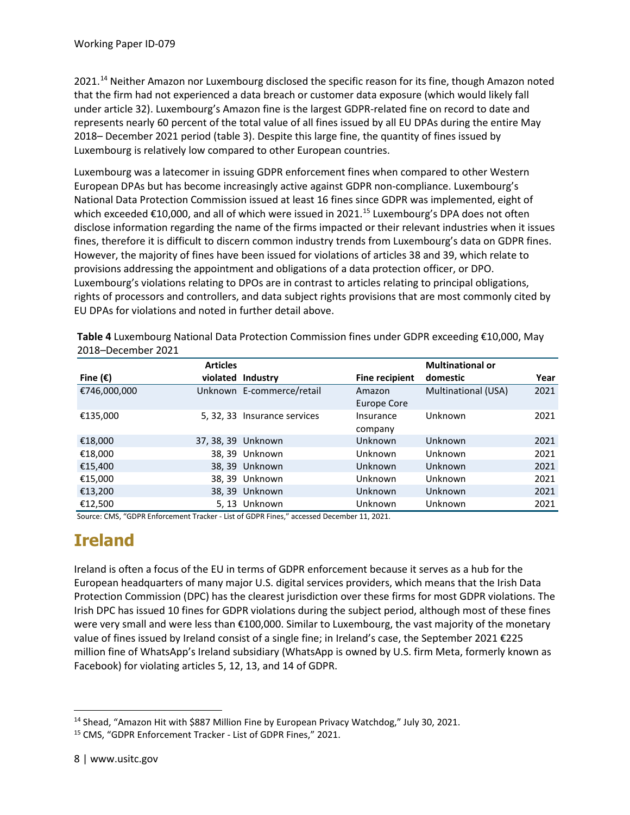2021.<sup>[14](#page-11-0)</sup> Neither Amazon nor Luxembourg disclosed the specific reason for its fine, though Amazon noted that the firm had not experienced a data breach or customer data exposure (which would likely fall under article 32). Luxembourg's Amazon fine is the largest GDPR-related fine on record to date and represents nearly 60 percent of the total value of all fines issued by all EU DPAs during the entire May 2018– December 2021 period (table 3). Despite this large fine, the quantity of fines issued by Luxembourg is relatively low compared to other European countries.

Luxembourg was a latecomer in issuing GDPR enforcement fines when compared to other Western European DPAs but has become increasingly active against GDPR non-compliance. Luxembourg's National Data Protection Commission issued at least 16 fines since GDPR was implemented, eight of which exceeded  $\epsilon$ 10,000, and all of which were issued in 2021.<sup>[15](#page-11-1)</sup> Luxembourg's DPA does not often disclose information regarding the name of the firms impacted or their relevant industries when it issues fines, therefore it is difficult to discern common industry trends from Luxembourg's data on GDPR fines. However, the majority of fines have been issued for violations of articles 38 and 39, which relate to provisions addressing the appointment and obligations of a data protection officer, or DPO. Luxembourg's violations relating to DPOs are in contrast to articles relating to principal obligations, rights of processors and controllers, and data subject rights provisions that are most commonly cited by EU DPAs for violations and noted in further detail above.

|                   | <b>Articles</b> |                              |                       | <b>Multinational or</b> |      |
|-------------------|-----------------|------------------------------|-----------------------|-------------------------|------|
| Fine $(\epsilon)$ |                 | violated Industry            | <b>Fine recipient</b> | domestic                | Year |
| €746,000,000      |                 | Unknown E-commerce/retail    | Amazon                | Multinational (USA)     | 2021 |
|                   |                 |                              | Europe Core           |                         |      |
| €135,000          |                 | 5, 32, 33 Insurance services | Insurance<br>company  | Unknown                 | 2021 |
| €18,000           |                 | 37, 38, 39 Unknown           | <b>Unknown</b>        | Unknown                 | 2021 |
| €18,000           |                 | 38, 39 Unknown               | Unknown               | Unknown                 | 2021 |
| €15,400           |                 | 38, 39 Unknown               | <b>Unknown</b>        | Unknown                 | 2021 |
| €15,000           |                 | 38, 39 Unknown               | Unknown               | Unknown                 | 2021 |
| €13,200           |                 | 38, 39 Unknown               | <b>Unknown</b>        | Unknown                 | 2021 |
| €12,500           |                 | 5,13 Unknown                 | Unknown               | Unknown                 | 2021 |

**Table 4** Luxembourg National Data Protection Commission fines under GDPR exceeding €10,000, May 2018–December 2021

Source: CMS, "GDPR Enforcement Tracker - List of GDPR Fines," accessed December 11, 2021.

# **Ireland**

Ireland is often a focus of the EU in terms of GDPR enforcement because it serves as a hub for the European headquarters of many major U.S. digital services providers, which means that the Irish Data Protection Commission (DPC) has the clearest jurisdiction over these firms for most GDPR violations. The Irish DPC has issued 10 fines for GDPR violations during the subject period, although most of these fines were very small and were less than €100,000. Similar to Luxembourg, the vast majority of the monetary value of fines issued by Ireland consist of a single fine; in Ireland's case, the September 2021 €225 million fine of WhatsApp's Ireland subsidiary (WhatsApp is owned by U.S. firm Meta, formerly known as Facebook) for violating articles 5, 12, 13, and 14 of GDPR.

<span id="page-11-0"></span><sup>&</sup>lt;sup>14</sup> Shead, "Amazon Hit with \$887 Million Fine by European Privacy Watchdog," July 30, 2021.

<span id="page-11-1"></span><sup>15</sup> CMS, "GDPR Enforcement Tracker - List of GDPR Fines," 2021.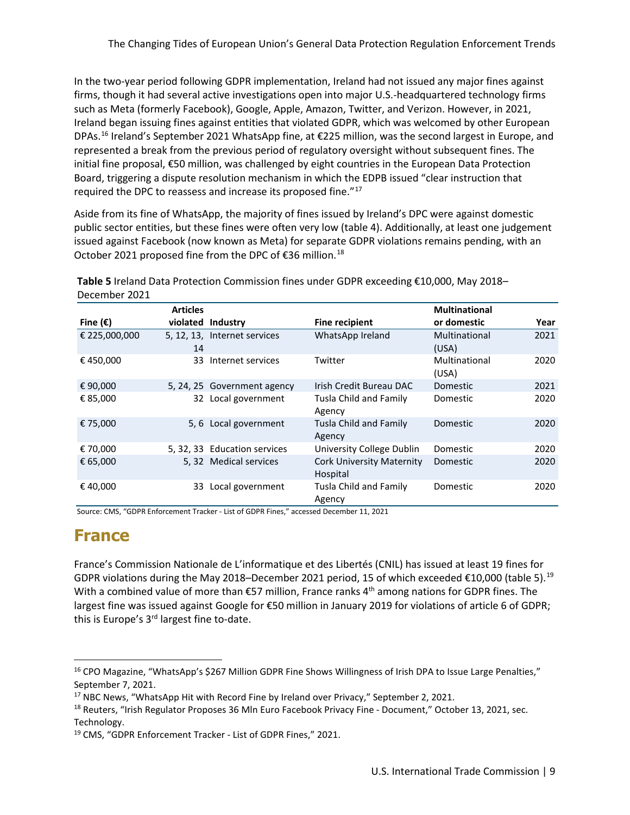In the two-year period following GDPR implementation, Ireland had not issued any major fines against firms, though it had several active investigations open into major U.S.-headquartered technology firms such as Meta (formerly Facebook), Google, Apple, Amazon, Twitter, and Verizon. However, in 2021, Ireland began issuing fines against entities that violated GDPR, which was welcomed by other European DPAs.<sup>16</sup> Ireland's September 2021 WhatsApp fine, at  $\epsilon$ 225 million, was the second largest in Europe, and represented a break from the previous period of regulatory oversight without subsequent fines. The initial fine proposal, €50 million, was challenged by eight countries in the European Data Protection Board, triggering a dispute resolution mechanism in which the EDPB issued "clear instruction that required the DPC to reassess and increase its proposed fine."[17](#page-12-1)

Aside from its fine of WhatsApp, the majority of fines issued by Ireland's DPC were against domestic public sector entities, but these fines were often very low (table 4). Additionally, at least one judgement issued against Facebook (now known as Meta) for separate GDPR violations remains pending, with an October 2021 proposed fine from the DPC of  $\epsilon$ 36 million.<sup>[18](#page-12-2)</sup>

| December 2021     |                 |                              |                                              |                        |      |
|-------------------|-----------------|------------------------------|----------------------------------------------|------------------------|------|
|                   | <b>Articles</b> |                              |                                              | <b>Multinational</b>   |      |
| Fine $(\epsilon)$ |                 | violated Industry            | <b>Fine recipient</b>                        | or domestic            | Year |
| € 225,000,000     | 14              | 5, 12, 13, Internet services | WhatsApp Ireland                             | Multinational<br>(USA) | 2021 |
| €450,000          | 33              | Internet services            | Twitter                                      | Multinational<br>(USA) | 2020 |
| € 90,000          |                 | 5, 24, 25 Government agency  | Irish Credit Bureau DAC                      | Domestic               | 2021 |
| € 85,000          |                 | 32 Local government          | Tusla Child and Family<br>Agency             | Domestic               | 2020 |
| € 75,000          |                 | 5, 6 Local government        | Tusla Child and Family<br>Agency             | Domestic               | 2020 |
| € 70,000          |                 | 5, 32, 33 Education services | University College Dublin                    | Domestic               | 2020 |
| € 65,000          |                 | 5, 32 Medical services       | <b>Cork University Maternity</b><br>Hospital | Domestic               | 2020 |
| €40,000           | 33              | Local government             | Tusla Child and Family<br>Agency             | Domestic               | 2020 |

**Table 5** Ireland Data Protection Commission fines under GDPR exceeding €10,000, May 2018– December 2021

Source: CMS, "GDPR Enforcement Tracker - List of GDPR Fines," accessed December 11, 2021

#### **France**

France's Commission Nationale de L'informatique et des Libertés (CNIL) has issued at least 19 fines for GDPR violations during the May 2018–December 2021 period, 15 of which exceeded €10,000 (table 5).<sup>[19](#page-12-3)</sup> With a combined value of more than €57 million, France ranks 4<sup>th</sup> among nations for GDPR fines. The largest fine was issued against Google for €50 million in January 2019 for violations of article 6 of GDPR; this is Europe's 3<sup>rd</sup> largest fine to-date.

<span id="page-12-0"></span><sup>16</sup> CPO Magazine, "WhatsApp's \$267 Million GDPR Fine Shows Willingness of Irish DPA to Issue Large Penalties," September 7, 2021.

<span id="page-12-1"></span><sup>&</sup>lt;sup>17</sup> NBC News, "WhatsApp Hit with Record Fine by Ireland over Privacy," September 2, 2021.

<span id="page-12-2"></span><sup>&</sup>lt;sup>18</sup> Reuters, "Irish Regulator Proposes 36 Mln Euro Facebook Privacy Fine - Document," October 13, 2021, sec. Technology.

<span id="page-12-3"></span><sup>19</sup> CMS, "GDPR Enforcement Tracker - List of GDPR Fines," 2021.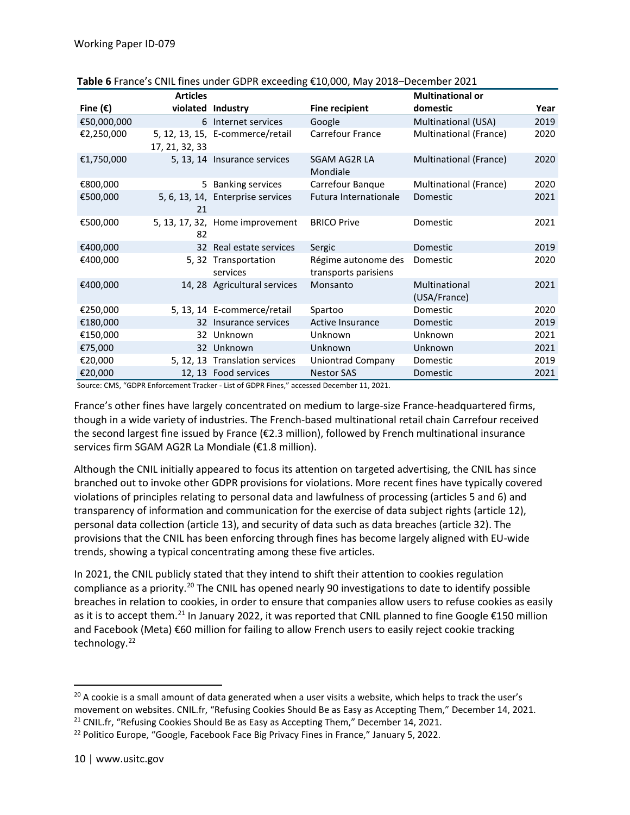|                   | <b>Articles</b> |                                   |                                             | <b>Multinational or</b>       |      |
|-------------------|-----------------|-----------------------------------|---------------------------------------------|-------------------------------|------|
| Fine $(\epsilon)$ |                 | violated Industry                 | <b>Fine recipient</b>                       | domestic                      | Year |
| €50,000,000       |                 | 6 Internet services               | Google                                      | Multinational (USA)           | 2019 |
| €2,250,000        | 17, 21, 32, 33  | 5, 12, 13, 15, E-commerce/retail  | Carrefour France                            | Multinational (France)        | 2020 |
| €1,750,000        |                 | 5, 13, 14 Insurance services      | SGAM AG2R LA<br>Mondiale                    | Multinational (France)        | 2020 |
| €800,000          |                 | 5 Banking services                | Carrefour Banque                            | Multinational (France)        | 2020 |
| €500,000          | 21              | 5, 6, 13, 14, Enterprise services | Futura Internationale                       | Domestic                      | 2021 |
| €500,000          | 82              | 5, 13, 17, 32, Home improvement   | <b>BRICO Prive</b>                          | Domestic                      | 2021 |
| €400,000          |                 | 32 Real estate services           | Sergic                                      | Domestic                      | 2019 |
| €400,000          |                 | 5, 32 Transportation<br>services  | Régime autonome des<br>transports parisiens | Domestic                      | 2020 |
| €400,000          |                 | 14, 28 Agricultural services      | Monsanto                                    | Multinational<br>(USA/France) | 2021 |
| €250,000          |                 | 5, 13, 14 E-commerce/retail       | Spartoo                                     | Domestic                      | 2020 |
| €180,000          |                 | 32 Insurance services             | Active Insurance                            | Domestic                      | 2019 |
| €150,000          |                 | 32 Unknown                        | Unknown                                     | Unknown                       | 2021 |
| €75,000           |                 | 32 Unknown                        | Unknown                                     | Unknown                       | 2021 |
| €20,000           |                 | 5, 12, 13 Translation services    | <b>Uniontrad Company</b>                    | Domestic                      | 2019 |
| €20,000           |                 | 12, 13 Food services              | <b>Nestor SAS</b>                           | Domestic                      | 2021 |

Source: CMS, "GDPR Enforcement Tracker - List of GDPR Fines," accessed December 11, 2021.

France's other fines have largely concentrated on medium to large-size France-headquartered firms, though in a wide variety of industries. The French-based multinational retail chain Carrefour received the second largest fine issued by France (€2.3 million), followed by French multinational insurance services firm SGAM AG2R La Mondiale (€1.8 million).

Although the CNIL initially appeared to focus its attention on targeted advertising, the CNIL has since branched out to invoke other GDPR provisions for violations. More recent fines have typically covered violations of principles relating to personal data and lawfulness of processing (articles 5 and 6) and transparency of information and communication for the exercise of data subject rights (article 12), personal data collection (article 13), and security of data such as data breaches (article 32). The provisions that the CNIL has been enforcing through fines has become largely aligned with EU-wide trends, showing a typical concentrating among these five articles.

In 2021, the CNIL publicly stated that they intend to shift their attention to cookies regulation compliance as a priority.<sup>[20](#page-13-0)</sup> The CNIL has opened nearly 90 investigations to date to identify possible breaches in relation to cookies, in order to ensure that companies allow users to refuse cookies as easily as it is to accept them.[21](#page-13-1) In January 2022, it was reported that CNIL planned to fine Google €150 million and Facebook (Meta) €60 million for failing to allow French users to easily reject cookie tracking technology.<sup>[22](#page-13-2)</sup>

<span id="page-13-0"></span> $20$  A cookie is a small amount of data generated when a user visits a website, which helps to track the user's movement on websites. CNIL.fr, "Refusing Cookies Should Be as Easy as Accepting Them," December 14, 2021.

<span id="page-13-1"></span> $21$  CNIL.fr, "Refusing Cookies Should Be as Easy as Accepting Them," December 14, 2021.

<span id="page-13-2"></span><sup>&</sup>lt;sup>22</sup> Politico Europe, "Google, Facebook Face Big Privacy Fines in France," January 5, 2022.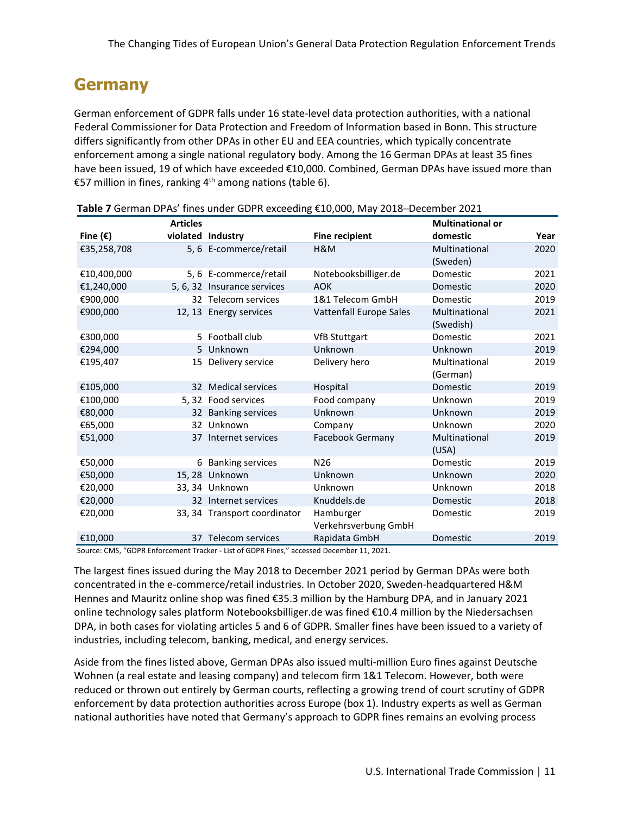#### **Germany**

German enforcement of GDPR falls under 16 state-level data protection authorities, with a national Federal Commissioner for Data Protection and Freedom of Information based in Bonn. This structure differs significantly from other DPAs in other EU and EEA countries, which typically concentrate enforcement among a single national regulatory body. Among the 16 German DPAs at least 35 fines have been issued, 19 of which have exceeded €10,000. Combined, German DPAs have issued more than €57 million in fines, ranking  $4<sup>th</sup>$  among nations (table 6).

|                   | <b>Articles</b> |                              |                         | <b>Multinational or</b> |      |
|-------------------|-----------------|------------------------------|-------------------------|-------------------------|------|
| Fine $(\epsilon)$ |                 | violated Industry            | <b>Fine recipient</b>   | domestic                | Year |
| €35,258,708       |                 | 5, 6 E-commerce/retail       | H&M                     | Multinational           | 2020 |
|                   |                 |                              |                         | (Sweden)                |      |
| €10,400,000       |                 | 5, 6 E-commerce/retail       | Notebooksbilliger.de    | Domestic                | 2021 |
| €1,240,000        |                 | 5, 6, 32 Insurance services  | <b>AOK</b>              | Domestic                | 2020 |
| €900,000          |                 | 32 Telecom services          | 1&1 Telecom GmbH        | Domestic                | 2019 |
| €900,000          |                 | 12, 13 Energy services       | Vattenfall Europe Sales | Multinational           | 2021 |
|                   |                 |                              |                         | (Swedish)               |      |
| €300,000          |                 | 5 Football club              | <b>VfB Stuttgart</b>    | Domestic                | 2021 |
| €294,000          |                 | 5 Unknown                    | Unknown                 | Unknown                 | 2019 |
| €195,407          |                 | 15 Delivery service          | Delivery hero           | Multinational           | 2019 |
|                   |                 |                              |                         | (German)                |      |
| €105,000          |                 | 32 Medical services          | Hospital                | Domestic                | 2019 |
| €100,000          |                 | 5, 32 Food services          | Food company            | Unknown                 | 2019 |
| €80,000           |                 | 32 Banking services          | Unknown                 | Unknown                 | 2019 |
| €65,000           |                 | 32 Unknown                   | Company                 | Unknown                 | 2020 |
| €51,000           |                 | 37 Internet services         | Facebook Germany        | Multinational           | 2019 |
|                   |                 |                              |                         | (USA)                   |      |
| €50,000           |                 | 6 Banking services           | N <sub>26</sub>         | Domestic                | 2019 |
| €50,000           |                 | 15,28 Unknown                | Unknown                 | Unknown                 | 2020 |
| €20,000           |                 | 33.34 Unknown                | Unknown                 | Unknown                 | 2018 |
| €20,000           |                 | 32 Internet services         | Knuddels.de             | Domestic                | 2018 |
| €20,000           |                 | 33, 34 Transport coordinator | Hamburger               | Domestic                | 2019 |
|                   |                 |                              | Verkehrsverbung GmbH    |                         |      |
| €10,000           |                 | 37 Telecom services          | Rapidata GmbH           | Domestic                | 2019 |

**Table 7** German DPAs' fines under GDPR exceeding €10,000, May 2018─December 2021

Source: CMS, "GDPR Enforcement Tracker - List of GDPR Fines," accessed December 11, 2021.

The largest fines issued during the May 2018 to December 2021 period by German DPAs were both concentrated in the e-commerce/retail industries. In October 2020, Sweden-headquartered H&M Hennes and Mauritz online shop was fined €35.3 million by the Hamburg DPA, and in January 2021 online technology sales platform Notebooksbilliger.de was fined €10.4 million by the Niedersachsen DPA, in both cases for violating articles 5 and 6 of GDPR. Smaller fines have been issued to a variety of industries, including telecom, banking, medical, and energy services.

Aside from the fines listed above, German DPAs also issued multi-million Euro fines against Deutsche Wohnen (a real estate and leasing company) and telecom firm 1&1 Telecom. However, both were reduced or thrown out entirely by German courts, reflecting a growing trend of court scrutiny of GDPR enforcement by data protection authorities across Europe (box 1). Industry experts as well as German national authorities have noted that Germany's approach to GDPR fines remains an evolving process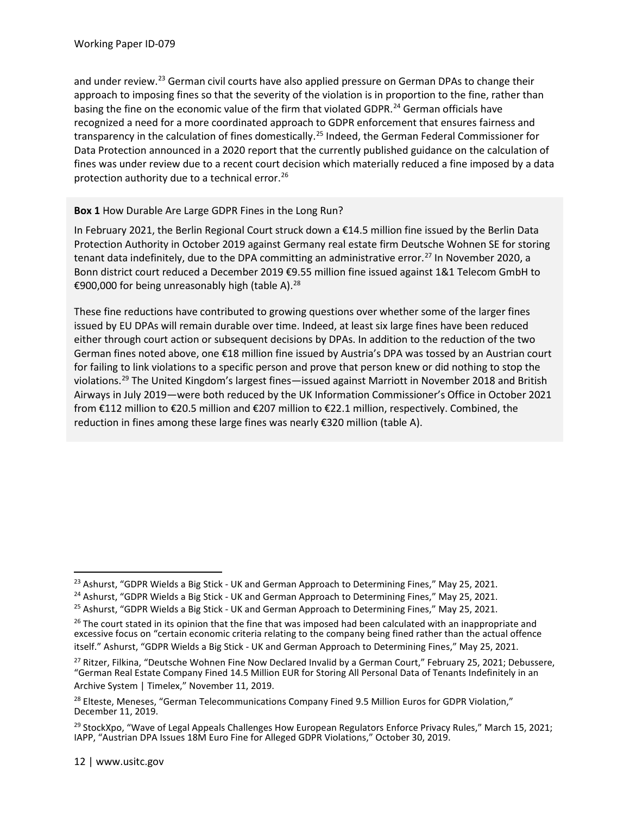and under review.<sup>[23](#page-15-0)</sup> German civil courts have also applied pressure on German DPAs to change their approach to imposing fines so that the severity of the violation is in proportion to the fine, rather than basing the fine on the economic value of the firm that violated GDPR.<sup>[24](#page-15-1)</sup> German officials have recognized a need for a more coordinated approach to GDPR enforcement that ensures fairness and transparency in the calculation of fines domestically.<sup>25</sup> Indeed, the German Federal Commissioner for Data Protection announced in a 2020 report that the currently published guidance on the calculation of fines was under review due to a recent court decision which materially reduced a fine imposed by a data protection authority due to a technical error.<sup>[26](#page-15-3)</sup>

#### **Box 1** How Durable Are Large GDPR Fines in the Long Run?

In February 2021, the Berlin Regional Court struck down a €14.5 million fine issued by the Berlin Data Protection Authority in October 2019 against Germany real estate firm Deutsche Wohnen SE for storing tenant data indefinitely, due to the DPA committing an administrative error.<sup>[27](#page-15-4)</sup> In November 2020, a Bonn district court reduced a December 2019 €9.55 million fine issued against 1&1 Telecom GmbH to €900,000 for being unreasonably high (table A).<sup>[28](#page-15-5)</sup>

These fine reductions have contributed to growing questions over whether some of the larger fines issued by EU DPAs will remain durable over time. Indeed, at least six large fines have been reduced either through court action or subsequent decisions by DPAs. In addition to the reduction of the two German fines noted above, one €18 million fine issued by Austria's DPA was tossed by an Austrian court for failing to link violations to a specific person and prove that person knew or did nothing to stop the violations[.29](#page-15-6) The United Kingdom's largest fines—issued against Marriott in November 2018 and British Airways in July 2019—were both reduced by the UK Information Commissioner's Office in October 2021 from €112 million to €20.5 million and €207 million to €22.1 million, respectively. Combined, the reduction in fines among these large fines was nearly €320 million (table A).

<span id="page-15-0"></span><sup>&</sup>lt;sup>23</sup> Ashurst, "GDPR Wields a Big Stick - UK and German Approach to Determining Fines," May 25, 2021.

<span id="page-15-1"></span><sup>&</sup>lt;sup>24</sup> Ashurst, "GDPR Wields a Big Stick - UK and German Approach to Determining Fines," May 25, 2021.

<span id="page-15-2"></span> $25$  Ashurst, "GDPR Wields a Big Stick - UK and German Approach to Determining Fines," May 25, 2021.

<span id="page-15-3"></span> $26$  The court stated in its opinion that the fine that was imposed had been calculated with an inappropriate and excessive focus on "certain economic criteria relating to the company being fined rather than the actual offence itself." Ashurst, "GDPR Wields a Big Stick - UK and German Approach to Determining Fines," May 25, 2021.

<span id="page-15-4"></span><sup>&</sup>lt;sup>27</sup> Ritzer, Filkina, "Deutsche Wohnen Fine Now Declared Invalid by a German Court," February 25, 2021; Debussere, "German Real Estate Company Fined 14.5 Million EUR for Storing All Personal Data of Tenants Indefinitely in an Archive System | Timelex," November 11, 2019.

<span id="page-15-5"></span><sup>&</sup>lt;sup>28</sup> Elteste, Meneses, "German Telecommunications Company Fined 9.5 Million Euros for GDPR Violation," December 11, 2019.

<span id="page-15-6"></span><sup>&</sup>lt;sup>29</sup> StockXpo, "Wave of Legal Appeals Challenges How European Regulators Enforce Privacy Rules," March 15, 2021; IAPP, "Austrian DPA Issues 18M Euro Fine for Alleged GDPR Violations," October 30, 2019.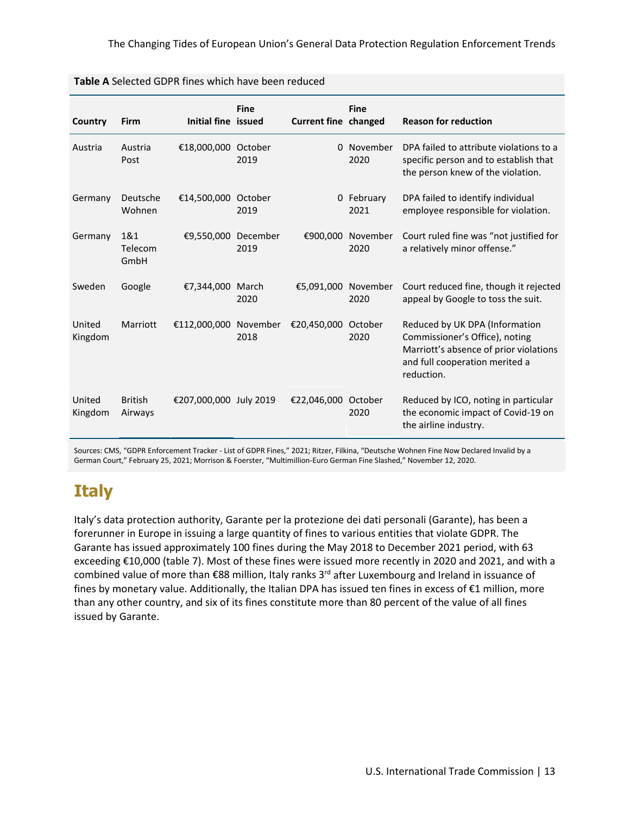|                   | <b>I ADIC A</b> SCIECLED ODT IN HITCS WHICH HAVE DECIT FEQULED |                        |                  |                             |                    |                                                                                                                                                            |
|-------------------|----------------------------------------------------------------|------------------------|------------------|-----------------------------|--------------------|------------------------------------------------------------------------------------------------------------------------------------------------------------|
| Country           | Firm                                                           | Initial fine issued    | <b>Fine</b>      | <b>Current fine changed</b> | <b>Fine</b>        | <b>Reason for reduction</b>                                                                                                                                |
| Austria           | Austria<br>Post                                                | €18,000,000 October    | 2019             |                             | 0 November<br>2020 | DPA failed to attribute violations to a<br>specific person and to establish that<br>the person knew of the violation.                                      |
| Germany           | Deutsche<br>Wohnen                                             | €14,500,000            | October<br>2019  |                             | 0 February<br>2021 | DPA failed to identify individual<br>employee responsible for violation.                                                                                   |
| Germany           | 1&1<br>Telecom<br>GmbH                                         | €9,550,000             | December<br>2019 | €900,000                    | November<br>2020   | Court ruled fine was "not justified for<br>a relatively minor offense."                                                                                    |
| Sweden            | Google                                                         | €7,344,000             | March<br>2020    | €5,091,000                  | November<br>2020   | Court reduced fine, though it rejected<br>appeal by Google to toss the suit.                                                                               |
| United<br>Kingdom | Marriott                                                       | €112,000,000 November  | 2018             | €20,450,000                 | October<br>2020    | Reduced by UK DPA (Information<br>Commissioner's Office), noting<br>Marriott's absence of prior violations<br>and full cooperation merited a<br>reduction. |
| United<br>Kingdom | <b>British</b><br>Airways                                      | €207,000,000 July 2019 |                  | €22,046,000 October         | 2020               | Reduced by ICO, noting in particular<br>the economic impact of Covid-19 on<br>the airline industry.                                                        |

Sources: CMS, "GDPR Enforcement Tracker - List of GDPR Fines," 2021; Ritzer, Filkina, "Deutsche Wohnen Fine Now Declared Invalid by a German Court," February 25, 2021; Morrison & Foerster, "Multimillion-Euro German Fine Slashed," November 12, 2020.

# **Italy**

Italy's data protection authority, Garante per la protezione dei dati personali (Garante), has been a forerunner in Europe in issuing a large quantity of fines to various entities that violate GDPR. The Garante has issued approximately 100 fines during the May 2018 to December 2021 period, with 63 exceeding €10,000 (table 7). Most of these fines were issued more recently in 2020 and 2021, and with a combined value of more than €88 million, Italy ranks 3<sup>rd</sup> after Luxembourg and Ireland in issuance of fines by monetary value. Additionally, the Italian DPA has issued ten fines in excess of €1 million, more than any other country, and six of its fines constitute more than 80 percent of the value of all fines issued by Garante.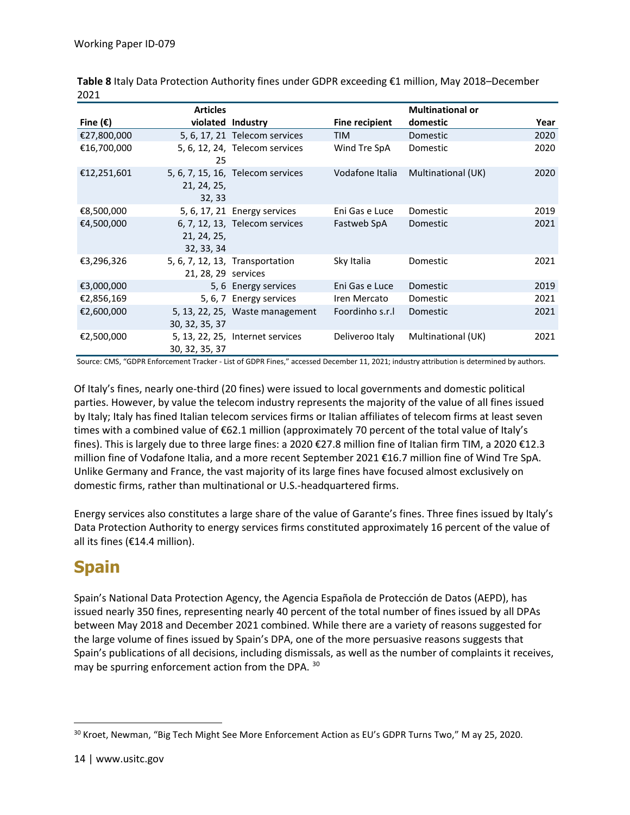|                   | <b>Articles</b>           |                                   |                       | <b>Multinational or</b> |      |
|-------------------|---------------------------|-----------------------------------|-----------------------|-------------------------|------|
| Fine $(\epsilon)$ |                           | violated Industry                 | <b>Fine recipient</b> | domestic                | Year |
| €27,800,000       |                           | 5, 6, 17, 21 Telecom services     | <b>TIM</b>            | Domestic                | 2020 |
| €16,700,000       | 25                        | 5, 6, 12, 24, Telecom services    | Wind Tre SpA          | Domestic                | 2020 |
| €12,251,601       | 21, 24, 25,<br>32, 33     | 5, 6, 7, 15, 16, Telecom services | Vodafone Italia       | Multinational (UK)      | 2020 |
| €8,500,000        |                           | 5, 6, 17, 21 Energy services      | Eni Gas e Luce        | Domestic                | 2019 |
| €4,500,000        | 21, 24, 25,<br>32, 33, 34 | 6, 7, 12, 13, Telecom services    | Fastweb SpA           | Domestic                | 2021 |
| €3,296,326        | 21, 28, 29 services       | 5, 6, 7, 12, 13, Transportation   | Sky Italia            | Domestic                | 2021 |
| €3,000,000        |                           | 5, 6 Energy services              | Eni Gas e Luce        | Domestic                | 2019 |
| €2,856,169        |                           | 5, 6, 7 Energy services           | Iren Mercato          | Domestic                | 2021 |
| €2,600,000        | 30, 32, 35, 37            | 5, 13, 22, 25, Waste management   | Foordinho s.r.        | Domestic                | 2021 |
| €2,500,000        | 30, 32, 35, 37            | 5, 13, 22, 25, Internet services  | Deliveroo Italy       | Multinational (UK)      | 2021 |

**Table 8** Italy Data Protection Authority fines under GDPR exceeding €1 million, May 2018–December 2021

Source: CMS, "GDPR Enforcement Tracker - List of GDPR Fines," accessed December 11, 2021; industry attribution is determined by authors.

Of Italy's fines, nearly one-third (20 fines) were issued to local governments and domestic political parties. However, by value the telecom industry represents the majority of the value of all fines issued by Italy; Italy has fined Italian telecom services firms or Italian affiliates of telecom firms at least seven times with a combined value of €62.1 million (approximately 70 percent of the total value of Italy's fines). This is largely due to three large fines: a 2020 €27.8 million fine of Italian firm TIM, a 2020 €12.3 million fine of Vodafone Italia, and a more recent September 2021 €16.7 million fine of Wind Tre SpA. Unlike Germany and France, the vast majority of its large fines have focused almost exclusively on domestic firms, rather than multinational or U.S.-headquartered firms.

Energy services also constitutes a large share of the value of Garante's fines. Three fines issued by Italy's Data Protection Authority to energy services firms constituted approximately 16 percent of the value of all its fines (€14.4 million).

#### **Spain**

Spain's National Data Protection Agency, the Agencia Española de Protección de Datos (AEPD), has issued nearly 350 fines, representing nearly 40 percent of the total number of fines issued by all DPAs between May 2018 and December 2021 combined. While there are a variety of reasons suggested for the large volume of fines issued by Spain's DPA, one of the more persuasive reasons suggests that Spain's publications of all decisions, including dismissals, as well as the number of complaints it receives, may be spurring enforcement action from the DPA. [30](#page-17-0)

<span id="page-17-0"></span><sup>&</sup>lt;sup>30</sup> Kroet, Newman, "Big Tech Might See More Enforcement Action as EU's GDPR Turns Two," M ay 25, 2020.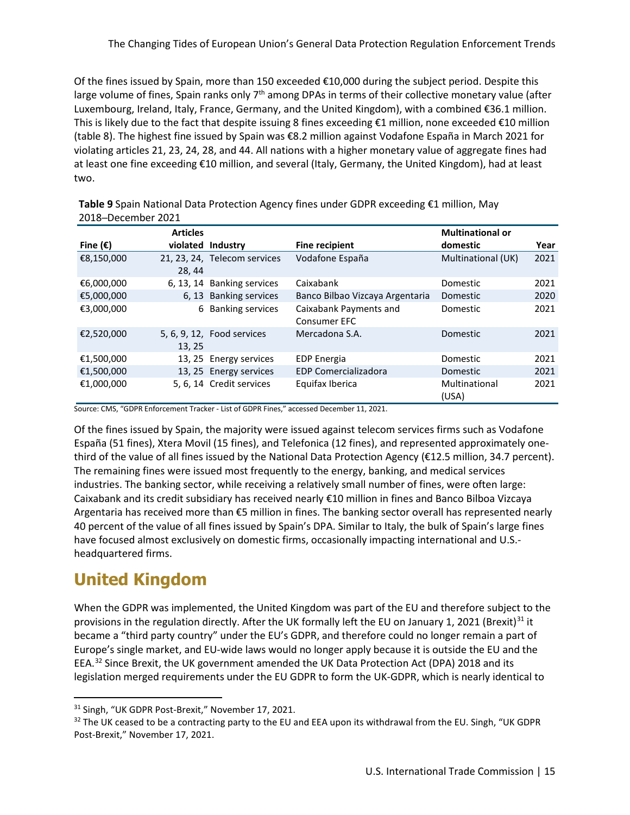Of the fines issued by Spain, more than 150 exceeded €10,000 during the subject period. Despite this large volume of fines, Spain ranks only  $7<sup>th</sup>$  among DPAs in terms of their collective monetary value (after Luxembourg, Ireland, Italy, France, Germany, and the United Kingdom), with a combined €36.1 million. This is likely due to the fact that despite issuing 8 fines exceeding €1 million, none exceeded €10 million (table 8). The highest fine issued by Spain was €8.2 million against Vodafone España in March 2021 for violating articles 21, 23, 24, 28, and 44. All nations with a higher monetary value of aggregate fines had at least one fine exceeding €10 million, and several (Italy, Germany, the United Kingdom), had at least two.

|                   | <b>Articles</b> |                              |                                               | <b>Multinational or</b> |      |
|-------------------|-----------------|------------------------------|-----------------------------------------------|-------------------------|------|
| Fine $(\epsilon)$ | violated        | <b>Industry</b>              | <b>Fine recipient</b>                         | domestic                | Year |
| €8,150,000        | 28, 44          | 21, 23, 24, Telecom services | Vodafone España                               | Multinational (UK)      | 2021 |
| €6,000,000        |                 | 6, 13, 14 Banking services   | Caixabank                                     | Domestic                | 2021 |
| €5,000,000        |                 | 6, 13 Banking services       | Banco Bilbao Vizcaya Argentaria               | Domestic                | 2020 |
| €3,000,000        | 6               | <b>Banking services</b>      | Caixabank Payments and<br><b>Consumer EFC</b> | Domestic                | 2021 |
| €2,520,000        | 13, 25          | 5, 6, 9, 12, Food services   | Mercadona S.A.                                | Domestic                | 2021 |
| €1,500,000        |                 | 13, 25 Energy services       | <b>EDP</b> Energia                            | Domestic                | 2021 |
| €1,500,000        |                 | 13, 25 Energy services       | <b>EDP Comercializadora</b>                   | Domestic                | 2021 |
| €1,000,000        |                 | 5, 6, 14 Credit services     | Equifax Iberica                               | Multinational<br>(USA)  | 2021 |

**Table 9** Spain National Data Protection Agency fines under GDPR exceeding €1 million, May 2018─December 2021

Source: CMS, "GDPR Enforcement Tracker - List of GDPR Fines," accessed December 11, 2021.

Of the fines issued by Spain, the majority were issued against telecom services firms such as Vodafone España (51 fines), Xtera Movil (15 fines), and Telefonica (12 fines), and represented approximately onethird of the value of all fines issued by the National Data Protection Agency (€12.5 million, 34.7 percent). The remaining fines were issued most frequently to the energy, banking, and medical services industries. The banking sector, while receiving a relatively small number of fines, were often large: Caixabank and its credit subsidiary has received nearly €10 million in fines and Banco Bilboa Vizcaya Argentaria has received more than €5 million in fines. The banking sector overall has represented nearly 40 percent of the value of all fines issued by Spain's DPA. Similar to Italy, the bulk of Spain's large fines have focused almost exclusively on domestic firms, occasionally impacting international and U.S. headquartered firms.

#### **United Kingdom**

When the GDPR was implemented, the United Kingdom was part of the EU and therefore subject to the provisions in the regulation directly. After the UK formally left the EU on January 1, 2021 (Brexit)<sup>[31](#page-18-0)</sup> it became a "third party country" under the EU's GDPR, and therefore could no longer remain a part of Europe's single market, and EU-wide laws would no longer apply because it is outside the EU and the EEA.[32](#page-18-1) Since Brexit, the UK government amended the UK Data Protection Act (DPA) 2018 and its legislation merged requirements under the EU GDPR to form the UK-GDPR, which is nearly identical to

<span id="page-18-0"></span><sup>31</sup> Singh, "UK GDPR Post-Brexit," November 17, 2021.

<span id="page-18-1"></span> $32$  The UK ceased to be a contracting party to the EU and EEA upon its withdrawal from the EU. Singh, "UK GDPR Post-Brexit," November 17, 2021.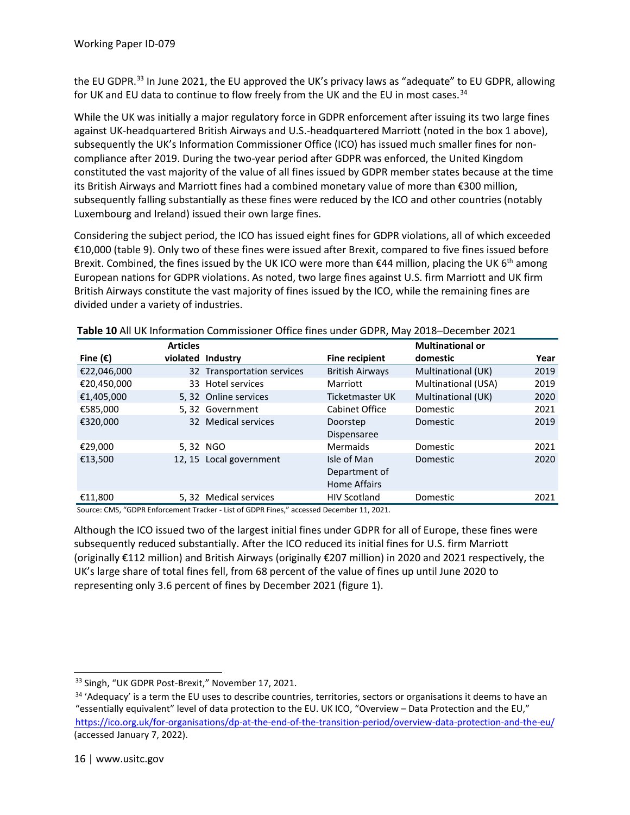the EU GDPR.<sup>[33](#page-19-0)</sup> In June 2021, the EU approved the UK's privacy laws as "adequate" to EU GDPR, allowing for UK and EU data to continue to flow freely from the UK and the EU in most cases.<sup>[34](#page-19-1)</sup>

While the UK was initially a major regulatory force in GDPR enforcement after issuing its two large fines against UK-headquartered British Airways and U.S.-headquartered Marriott (noted in the box 1 above), subsequently the UK's Information Commissioner Office (ICO) has issued much smaller fines for noncompliance after 2019. During the two-year period after GDPR was enforced, the United Kingdom constituted the vast majority of the value of all fines issued by GDPR member states because at the time its British Airways and Marriott fines had a combined monetary value of more than €300 million, subsequently falling substantially as these fines were reduced by the ICO and other countries (notably Luxembourg and Ireland) issued their own large fines.

Considering the subject period, the ICO has issued eight fines for GDPR violations, all of which exceeded €10,000 (table 9). Only two of these fines were issued after Brexit, compared to five fines issued before Brexit. Combined, the fines issued by the UK ICO were more than  $\epsilon$ 44 million, placing the UK 6<sup>th</sup> among European nations for GDPR violations. As noted, two large fines against U.S. firm Marriott and UK firm British Airways constitute the vast majority of fines issued by the ICO, while the remaining fines are divided under a variety of industries.

|                   | <b>Articles</b> |                            |                        | <b>Multinational or</b> |      |
|-------------------|-----------------|----------------------------|------------------------|-------------------------|------|
| Fine $(\epsilon)$ |                 | violated Industry          | <b>Fine recipient</b>  | domestic                | Year |
| €22,046,000       |                 | 32 Transportation services | <b>British Airways</b> | Multinational (UK)      | 2019 |
| €20,450,000       |                 | 33 Hotel services          | Marriott               | Multinational (USA)     | 2019 |
| €1,405,000        |                 | 5, 32 Online services      | Ticketmaster UK        | Multinational (UK)      | 2020 |
| €585,000          |                 | 5,32 Government            | Cabinet Office         | Domestic                | 2021 |
| €320,000          |                 | 32 Medical services        | Doorstep               | Domestic                | 2019 |
|                   |                 |                            | Dispensaree            |                         |      |
| €29,000           |                 | 5,32 NGO                   | <b>Mermaids</b>        | Domestic                | 2021 |
| €13,500           |                 | 12, 15 Local government    | Isle of Man            | Domestic                | 2020 |
|                   |                 |                            | Department of          |                         |      |
|                   |                 |                            | <b>Home Affairs</b>    |                         |      |
| €11.800           |                 | 5, 32 Medical services     | <b>HIV Scotland</b>    | Domestic                | 2021 |

**Table 10** All UK Information Commissioner Office fines under GDPR, May 2018─December 2021

Source: CMS, "GDPR Enforcement Tracker - List of GDPR Fines," accessed December 11, 2021.

Although the ICO issued two of the largest initial fines under GDPR for all of Europe, these fines were subsequently reduced substantially. After the ICO reduced its initial fines for U.S. firm Marriott (originally €112 million) and British Airways (originally €207 million) in 2020 and 2021 respectively, the UK's large share of total fines fell, from 68 percent of the value of fines up until June 2020 to representing only 3.6 percent of fines by December 2021 (figure 1).

<sup>33</sup> Singh, "UK GDPR Post-Brexit," November 17, 2021.

<span id="page-19-1"></span><span id="page-19-0"></span><sup>&</sup>lt;sup>34</sup> 'Adequacy' is a term the EU uses to describe countries, territories, sectors or organisations it deems to have an "essentially equivalent" level of data protection to the EU. UK ICO, "Overview – Data Protection and the EU," <https://ico.org.uk/for-organisations/dp-at-the-end-of-the-transition-period/overview-data-protection-and-the-eu/> (accessed January 7, 2022).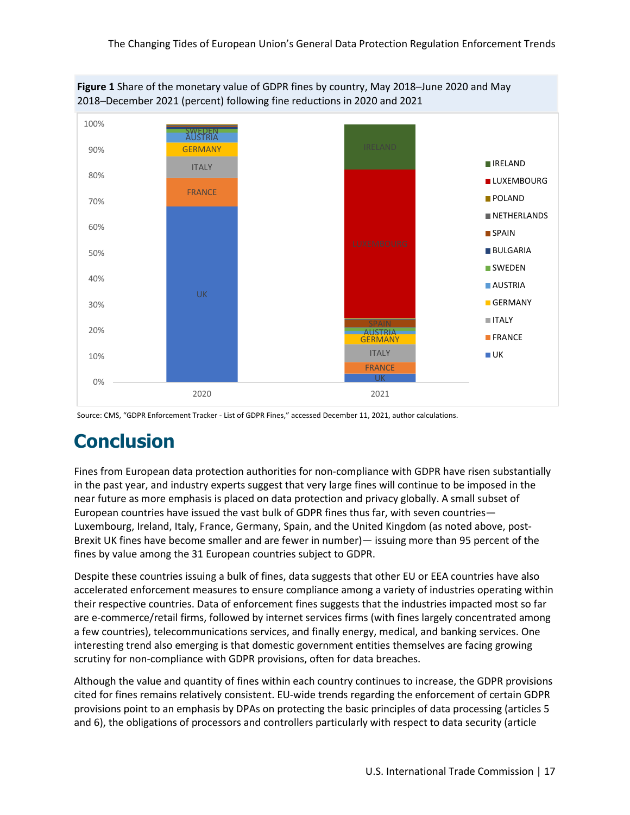

**Figure 1** Share of the monetary value of GDPR fines by country, May 2018─June 2020 and May 2018─December 2021 (percent) following fine reductions in 2020 and 2021

# **Conclusion**

Fines from European data protection authorities for non-compliance with GDPR have risen substantially in the past year, and industry experts suggest that very large fines will continue to be imposed in the near future as more emphasis is placed on data protection and privacy globally. A small subset of European countries have issued the vast bulk of GDPR fines thus far, with seven countries— Luxembourg, Ireland, Italy, France, Germany, Spain, and the United Kingdom (as noted above, post-Brexit UK fines have become smaller and are fewer in number)— issuing more than 95 percent of the fines by value among the 31 European countries subject to GDPR.

Despite these countries issuing a bulk of fines, data suggests that other EU or EEA countries have also accelerated enforcement measures to ensure compliance among a variety of industries operating within their respective countries. Data of enforcement fines suggests that the industries impacted most so far are e-commerce/retail firms, followed by internet services firms (with fines largely concentrated among a few countries), telecommunications services, and finally energy, medical, and banking services. One interesting trend also emerging is that domestic government entities themselves are facing growing scrutiny for non-compliance with GDPR provisions, often for data breaches.

Although the value and quantity of fines within each country continues to increase, the GDPR provisions cited for fines remains relatively consistent. EU-wide trends regarding the enforcement of certain GDPR provisions point to an emphasis by DPAs on protecting the basic principles of data processing (articles 5 and 6), the obligations of processors and controllers particularly with respect to data security (article

Source: CMS, "GDPR Enforcement Tracker - List of GDPR Fines," accessed December 11, 2021, author calculations.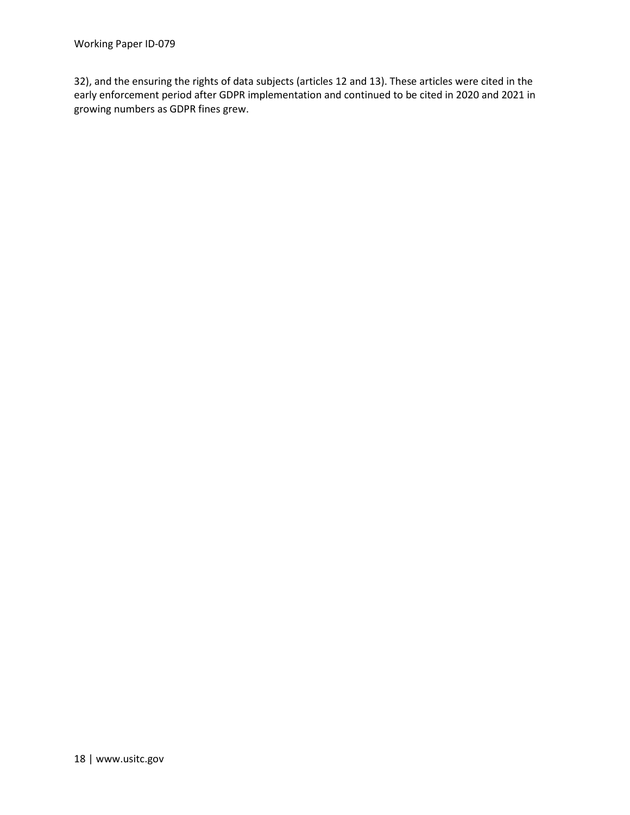32), and the ensuring the rights of data subjects (articles 12 and 13). These articles were cited in the early enforcement period after GDPR implementation and continued to be cited in 2020 and 2021 in growing numbers as GDPR fines grew.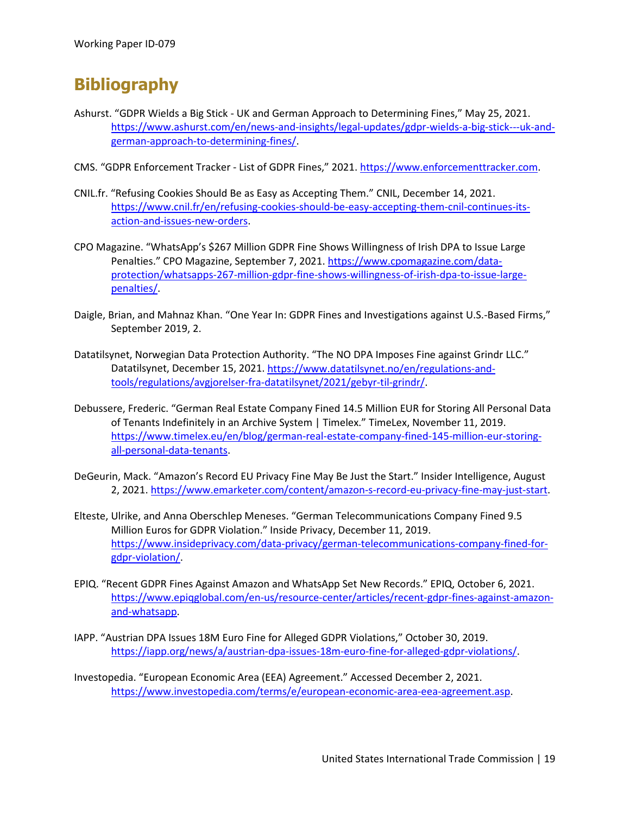# **Bibliography**

- Ashurst. "GDPR Wields a Big Stick UK and German Approach to Determining Fines," May 25, 2021. [https://www.ashurst.com/en/news-and-insights/legal-updates/gdpr-wields-a-big-stick---uk-and](https://www.ashurst.com/en/news-and-insights/legal-updates/gdpr-wields-a-big-stick---uk-and-german-approach-to-determining-fines/)[german-approach-to-determining-fines/.](https://www.ashurst.com/en/news-and-insights/legal-updates/gdpr-wields-a-big-stick---uk-and-german-approach-to-determining-fines/)
- CMS. "GDPR Enforcement Tracker List of GDPR Fines," 2021. [https://www.enforcementtracker.com.](https://www.enforcementtracker.com/)
- CNIL.fr. "Refusing Cookies Should Be as Easy as Accepting Them." CNIL, December 14, 2021. [https://www.cnil.fr/en/refusing-cookies-should-be-easy-accepting-them-cnil-continues-its](https://www.cnil.fr/en/refusing-cookies-should-be-easy-accepting-them-cnil-continues-its-action-and-issues-new-orders)[action-and-issues-new-orders.](https://www.cnil.fr/en/refusing-cookies-should-be-easy-accepting-them-cnil-continues-its-action-and-issues-new-orders)
- CPO Magazine. "WhatsApp's \$267 Million GDPR Fine Shows Willingness of Irish DPA to Issue Large Penalties." CPO Magazine, September 7, 2021[. https://www.cpomagazine.com/data](https://www.cpomagazine.com/data-protection/whatsapps-267-million-gdpr-fine-shows-willingness-of-irish-dpa-to-issue-large-penalties/)[protection/whatsapps-267-million-gdpr-fine-shows-willingness-of-irish-dpa-to-issue-large](https://www.cpomagazine.com/data-protection/whatsapps-267-million-gdpr-fine-shows-willingness-of-irish-dpa-to-issue-large-penalties/)[penalties/.](https://www.cpomagazine.com/data-protection/whatsapps-267-million-gdpr-fine-shows-willingness-of-irish-dpa-to-issue-large-penalties/)
- Daigle, Brian, and Mahnaz Khan. "One Year In: GDPR Fines and Investigations against U.S.-Based Firms," September 2019, 2.
- Datatilsynet, Norwegian Data Protection Authority. "The NO DPA Imposes Fine against Grindr LLC." Datatilsynet, December 15, 2021. [https://www.datatilsynet.no/en/regulations-and](https://www.datatilsynet.no/en/regulations-and-tools/regulations/avgjorelser-fra-datatilsynet/2021/gebyr-til-grindr/)[tools/regulations/avgjorelser-fra-datatilsynet/2021/gebyr-til-grindr/.](https://www.datatilsynet.no/en/regulations-and-tools/regulations/avgjorelser-fra-datatilsynet/2021/gebyr-til-grindr/)
- Debussere, Frederic. "German Real Estate Company Fined 14.5 Million EUR for Storing All Personal Data of Tenants Indefinitely in an Archive System | Timelex." TimeLex, November 11, 2019. [https://www.timelex.eu/en/blog/german-real-estate-company-fined-145-million-eur-storing](https://www.timelex.eu/en/blog/german-real-estate-company-fined-145-million-eur-storing-all-personal-data-tenants)[all-personal-data-tenants.](https://www.timelex.eu/en/blog/german-real-estate-company-fined-145-million-eur-storing-all-personal-data-tenants)
- DeGeurin, Mack. "Amazon's Record EU Privacy Fine May Be Just the Start." Insider Intelligence, August 2, 2021[. https://www.emarketer.com/content/amazon-s-record-eu-privacy-fine-may-just-start.](https://www.emarketer.com/content/amazon-s-record-eu-privacy-fine-may-just-start)
- Elteste, Ulrike, and Anna Oberschlep Meneses. "German Telecommunications Company Fined 9.5 Million Euros for GDPR Violation." Inside Privacy, December 11, 2019. [https://www.insideprivacy.com/data-privacy/german-telecommunications-company-fined-for](https://www.insideprivacy.com/data-privacy/german-telecommunications-company-fined-for-gdpr-violation/)[gdpr-violation/.](https://www.insideprivacy.com/data-privacy/german-telecommunications-company-fined-for-gdpr-violation/)
- EPIQ. "Recent GDPR Fines Against Amazon and WhatsApp Set New Records." EPIQ, October 6, 2021. [https://www.epiqglobal.com/en-us/resource-center/articles/recent-gdpr-fines-against-amazon](https://www.epiqglobal.com/en-us/resource-center/articles/recent-gdpr-fines-against-amazon-and-whatsapp)[and-whatsapp.](https://www.epiqglobal.com/en-us/resource-center/articles/recent-gdpr-fines-against-amazon-and-whatsapp)
- IAPP. "Austrian DPA Issues 18M Euro Fine for Alleged GDPR Violations," October 30, 2019. [https://iapp.org/news/a/austrian-dpa-issues-18m-euro-fine-for-alleged-gdpr-violations/.](https://iapp.org/news/a/austrian-dpa-issues-18m-euro-fine-for-alleged-gdpr-violations/)
- Investopedia. "European Economic Area (EEA) Agreement." Accessed December 2, 2021. [https://www.investopedia.com/terms/e/european-economic-area-eea-agreement.asp.](https://www.investopedia.com/terms/e/european-economic-area-eea-agreement.asp)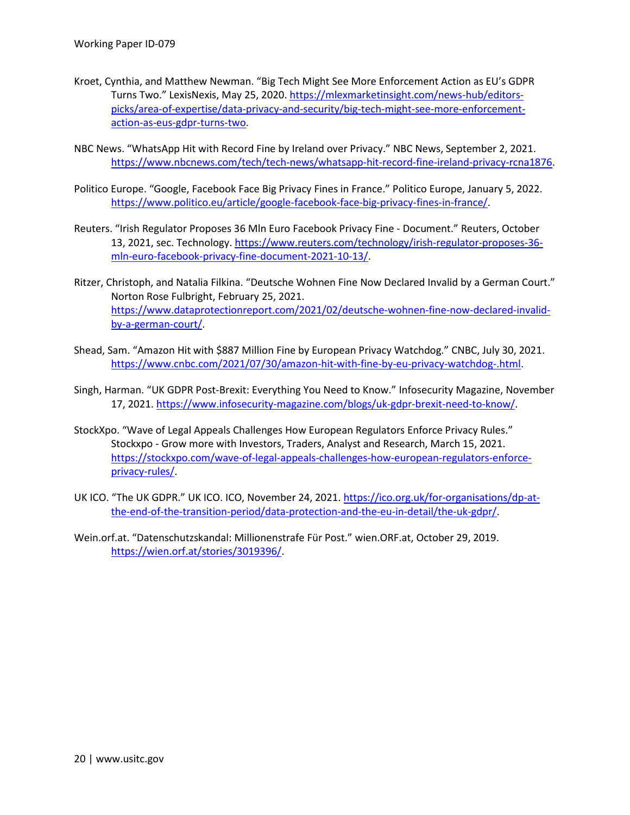- Kroet, Cynthia, and Matthew Newman. "Big Tech Might See More Enforcement Action as EU's GDPR Turns Two." LexisNexis, May 25, 2020[. https://mlexmarketinsight.com/news-hub/editors](https://mlexmarketinsight.com/news-hub/editors-picks/area-of-expertise/data-privacy-and-security/big-tech-might-see-more-enforcement-action-as-eus-gdpr-turns-two)[picks/area-of-expertise/data-privacy-and-security/big-tech-might-see-more-enforcement](https://mlexmarketinsight.com/news-hub/editors-picks/area-of-expertise/data-privacy-and-security/big-tech-might-see-more-enforcement-action-as-eus-gdpr-turns-two)[action-as-eus-gdpr-turns-two.](https://mlexmarketinsight.com/news-hub/editors-picks/area-of-expertise/data-privacy-and-security/big-tech-might-see-more-enforcement-action-as-eus-gdpr-turns-two)
- NBC News. "WhatsApp Hit with Record Fine by Ireland over Privacy." NBC News, September 2, 2021. [https://www.nbcnews.com/tech/tech-news/whatsapp-hit-record-fine-ireland-privacy-rcna1876.](https://www.nbcnews.com/tech/tech-news/whatsapp-hit-record-fine-ireland-privacy-rcna1876)
- Politico Europe. "Google, Facebook Face Big Privacy Fines in France." Politico Europe, January 5, 2022. [https://www.politico.eu/article/google-facebook-face-big-privacy-fines-in-france/.](https://www.politico.eu/article/google-facebook-face-big-privacy-fines-in-france/)
- Reuters. "Irish Regulator Proposes 36 Mln Euro Facebook Privacy Fine Document." Reuters, October 13, 2021, sec. Technology. [https://www.reuters.com/technology/irish-regulator-proposes-36](https://www.reuters.com/technology/irish-regulator-proposes-36-mln-euro-facebook-privacy-fine-document-2021-10-13/) [mln-euro-facebook-privacy-fine-document-2021-10-13/.](https://www.reuters.com/technology/irish-regulator-proposes-36-mln-euro-facebook-privacy-fine-document-2021-10-13/)
- Ritzer, Christoph, and Natalia Filkina. "Deutsche Wohnen Fine Now Declared Invalid by a German Court." Norton Rose Fulbright, February 25, 2021. [https://www.dataprotectionreport.com/2021/02/deutsche-wohnen-fine-now-declared-invalid](https://www.dataprotectionreport.com/2021/02/deutsche-wohnen-fine-now-declared-invalid-by-a-german-court/)[by-a-german-court/.](https://www.dataprotectionreport.com/2021/02/deutsche-wohnen-fine-now-declared-invalid-by-a-german-court/)
- Shead, Sam. "Amazon Hit with \$887 Million Fine by European Privacy Watchdog." CNBC, July 30, 2021. [https://www.cnbc.com/2021/07/30/amazon-hit-with-fine-by-eu-privacy-watchdog-.html.](https://www.cnbc.com/2021/07/30/amazon-hit-with-fine-by-eu-privacy-watchdog-.html)
- Singh, Harman. "UK GDPR Post-Brexit: Everything You Need to Know." Infosecurity Magazine, November 17, 2021. [https://www.infosecurity-magazine.com/blogs/uk-gdpr-brexit-need-to-know/.](https://www.infosecurity-magazine.com/blogs/uk-gdpr-brexit-need-to-know/)
- StockXpo. "Wave of Legal Appeals Challenges How European Regulators Enforce Privacy Rules." Stockxpo - Grow more with Investors, Traders, Analyst and Research, March 15, 2021. [https://stockxpo.com/wave-of-legal-appeals-challenges-how-european-regulators-enforce](https://stockxpo.com/wave-of-legal-appeals-challenges-how-european-regulators-enforce-privacy-rules/)[privacy-rules/.](https://stockxpo.com/wave-of-legal-appeals-challenges-how-european-regulators-enforce-privacy-rules/)
- UK ICO. "The UK GDPR." UK ICO. ICO, November 24, 2021. [https://ico.org.uk/for-organisations/dp-at](https://ico.org.uk/for-organisations/dp-at-the-end-of-the-transition-period/data-protection-and-the-eu-in-detail/the-uk-gdpr/)[the-end-of-the-transition-period/data-protection-and-the-eu-in-detail/the-uk-gdpr/.](https://ico.org.uk/for-organisations/dp-at-the-end-of-the-transition-period/data-protection-and-the-eu-in-detail/the-uk-gdpr/)
- Wein.orf.at. "Datenschutzskandal: Millionenstrafe Für Post." wien.ORF.at, October 29, 2019. [https://wien.orf.at/stories/3019396/.](https://wien.orf.at/stories/3019396/)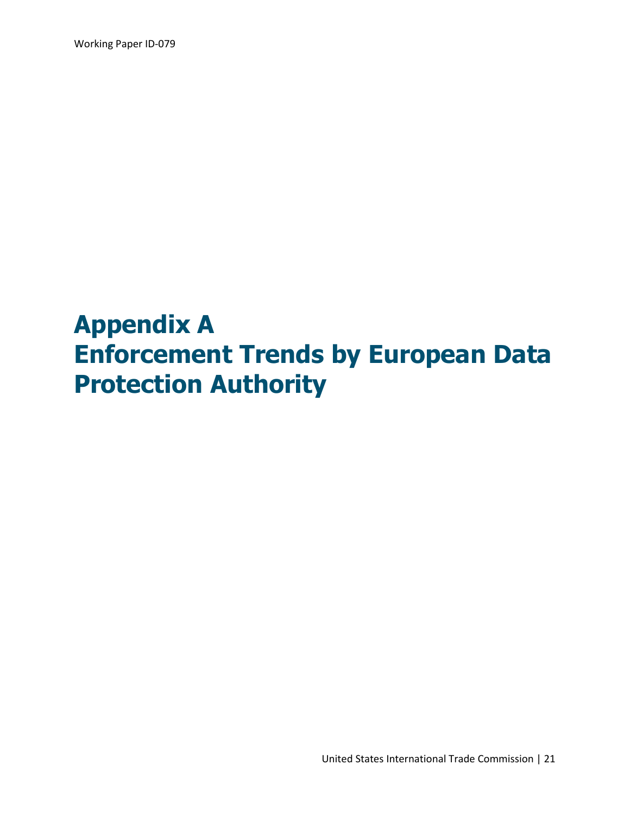Working Paper ID-079

# **Appendix A Enforcement Trends by European Data Protection Authority**

United States International Trade Commission | 21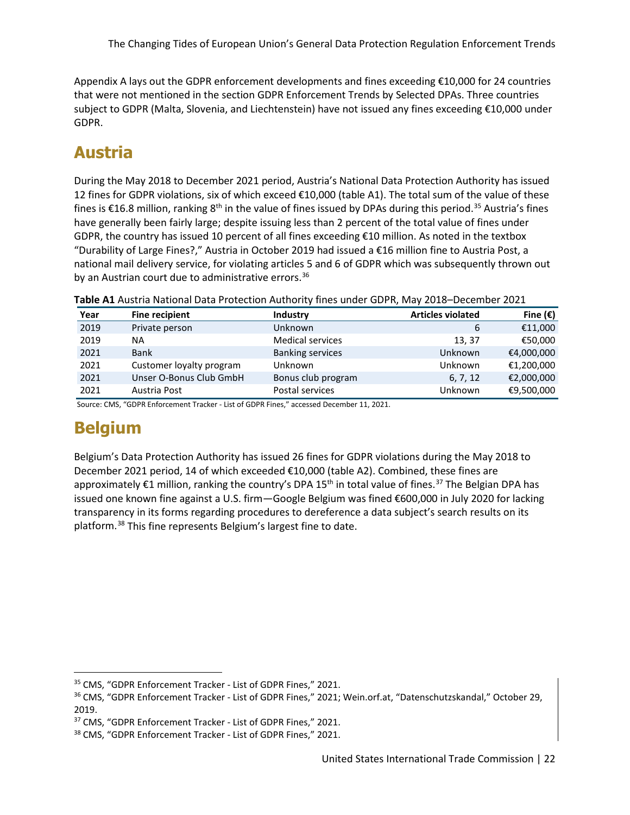Appendix A lays out the GDPR enforcement developments and fines exceeding €10,000 for 24 countries that were not mentioned in the section GDPR Enforcement Trends by Selected DPAs. Three countries subject to GDPR (Malta, Slovenia, and Liechtenstein) have not issued any fines exceeding €10,000 under GDPR.

# **Austria**

During the May 2018 to December 2021 period, Austria's National Data Protection Authority has issued 12 fines for GDPR violations, six of which exceed €10,000 (table A1). The total sum of the value of these fines is  $£16.8$  million, ranking  $8<sup>th</sup>$  in the value of fines issued by DPAs during this period.<sup>[35](#page-25-0)</sup> Austria's fines have generally been fairly large; despite issuing less than 2 percent of the total value of fines under GDPR, the country has issued 10 percent of all fines exceeding €10 million. As noted in the textbox "Durability of Large Fines?," Austria in October 2019 had issued a €16 million fine to Austria Post, a national mail delivery service, for violating articles 5 and 6 of GDPR which was subsequently thrown out by an Austrian court due to administrative errors.<sup>[36](#page-25-1)</sup>

| Year | <b>Fine recipient</b>    | <b>Industry</b>         | <b>Articles violated</b> | Fine $(\epsilon)$ |
|------|--------------------------|-------------------------|--------------------------|-------------------|
| 2019 | Private person           | Unknown                 | 6                        | €11,000           |
| 2019 | <b>NA</b>                | <b>Medical services</b> | 13, 37                   | €50,000           |
| 2021 | <b>Bank</b>              | <b>Banking services</b> | Unknown                  | €4,000,000        |
| 2021 | Customer loyalty program | Unknown                 | Unknown                  | €1,200,000        |
| 2021 | Unser O-Bonus Club GmbH  | Bonus club program      | 6, 7, 12                 | €2,000,000        |
| 2021 | Austria Post             | Postal services         | Unknown                  | €9,500,000        |

**Table A1** Austria National Data Protection Authority fines under GDPR, May 2018–December 2021

Source: CMS, "GDPR Enforcement Tracker - List of GDPR Fines," accessed December 11, 2021.

# **Belgium**

Belgium's Data Protection Authority has issued 26 fines for GDPR violations during the May 2018 to December 2021 period, 14 of which exceeded €10,000 (table A2). Combined, these fines are approximately €1 million, ranking the country's DPA 15<sup>th</sup> in total value of fines.<sup>[37](#page-25-2)</sup> The Belgian DPA has issued one known fine against a U.S. firm—Google Belgium was fined €600,000 in July 2020 for lacking transparency in its forms regarding procedures to dereference a data subject's search results on its platform.[38](#page-25-3) This fine represents Belgium's largest fine to date.

<span id="page-25-0"></span><sup>35</sup> CMS, "GDPR Enforcement Tracker - List of GDPR Fines," 2021.

<span id="page-25-1"></span><sup>36</sup> CMS, "GDPR Enforcement Tracker - List of GDPR Fines," 2021; Wein.orf.at, "Datenschutzskandal," October 29, 2019.

<span id="page-25-2"></span><sup>37</sup> CMS, "GDPR Enforcement Tracker - List of GDPR Fines," 2021.

<span id="page-25-3"></span><sup>38</sup> CMS, "GDPR Enforcement Tracker - List of GDPR Fines," 2021.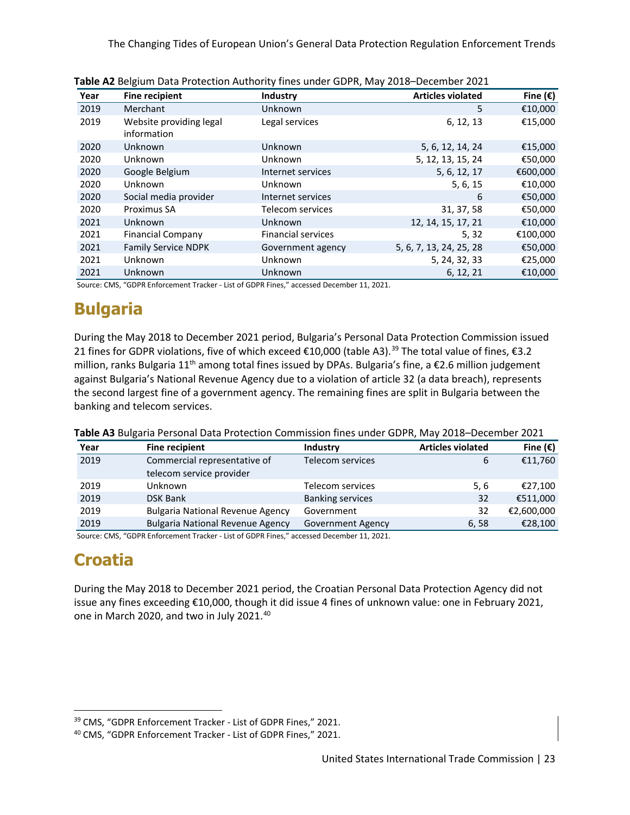The Changing Tides of European Union's General Data Protection Regulation Enforcement Trends

| Year | <b>Fine recipient</b>                  | Industry                  | <b>Articles violated</b> | Fine $(\epsilon)$ |
|------|----------------------------------------|---------------------------|--------------------------|-------------------|
| 2019 | Merchant                               | Unknown                   | 5                        | €10,000           |
| 2019 | Website providing legal<br>information | Legal services            | 6, 12, 13                | €15,000           |
| 2020 | Unknown                                | Unknown                   | 5, 6, 12, 14, 24         | €15,000           |
| 2020 | Unknown                                | Unknown                   | 5, 12, 13, 15, 24        | €50,000           |
| 2020 | Google Belgium                         | Internet services         | 5, 6, 12, 17             | €600,000          |
| 2020 | Unknown                                | Unknown                   | 5, 6, 15                 | €10,000           |
| 2020 | Social media provider                  | Internet services         | 6                        | €50,000           |
| 2020 | Proximus SA                            | Telecom services          | 31, 37, 58               | €50,000           |
| 2021 | Unknown                                | Unknown                   | 12, 14, 15, 17, 21       | €10,000           |
| 2021 | <b>Financial Company</b>               | <b>Financial services</b> | 5, 32                    | €100,000          |
| 2021 | <b>Family Service NDPK</b>             | Government agency         | 5, 6, 7, 13, 24, 25, 28  | €50,000           |
| 2021 | Unknown                                | Unknown                   | 5, 24, 32, 33            | €25,000           |
| 2021 | Unknown                                | Unknown                   | 6, 12, 21                | €10,000           |

| Table A2 Belgium Data Protection Authority fines under GDPR, May 2018-December 2021 |  |
|-------------------------------------------------------------------------------------|--|
|-------------------------------------------------------------------------------------|--|

Source: CMS, "GDPR Enforcement Tracker - List of GDPR Fines," accessed December 11, 2021.

# **Bulgaria**

During the May 2018 to December 2021 period, Bulgaria's Personal Data Protection Commission issued 21 fines for GDPR violations, five of which exceed €10,000 (table A3).<sup>[39](#page-26-0)</sup> The total value of fines, €3.2 million, ranks Bulgaria 11<sup>th</sup> among total fines issued by DPAs. Bulgaria's fine, a  $\epsilon$ 2.6 million judgement against Bulgaria's National Revenue Agency due to a violation of article 32 (a data breach), represents the second largest fine of a government agency. The remaining fines are split in Bulgaria between the banking and telecom services.

|  |  | Table A3 Bulgaria Personal Data Protection Commission fines under GDPR, May 2018–December 2021 |
|--|--|------------------------------------------------------------------------------------------------|
|  |  |                                                                                                |

| Year | <b>Fine recipient</b>                                    | Industry                 | <b>Articles violated</b> | Fine $(\epsilon)$ |
|------|----------------------------------------------------------|--------------------------|--------------------------|-------------------|
| 2019 | Commercial representative of<br>telecom service provider | Telecom services         | 6                        | €11,760           |
| 2019 | Unknown                                                  | Telecom services         | 5, 6                     | €27,100           |
| 2019 | <b>DSK Bank</b>                                          | <b>Banking services</b>  | 32                       | €511,000          |
| 2019 | <b>Bulgaria National Revenue Agency</b>                  | Government               | 32                       | €2,600,000        |
| 2019 | <b>Bulgaria National Revenue Agency</b>                  | <b>Government Agency</b> | 6,58                     | €28,100           |

Source: CMS, "GDPR Enforcement Tracker - List of GDPR Fines," accessed December 11, 2021.

# **Croatia**

During the May 2018 to December 2021 period, the Croatian Personal Data Protection Agency did not issue any fines exceeding €10,000, though it did issue 4 fines of unknown value: one in February 2021, one in March 2020, and two in July 2021.<sup>[40](#page-26-1)</sup>

<span id="page-26-0"></span><sup>39</sup> CMS, "GDPR Enforcement Tracker - List of GDPR Fines," 2021.

<span id="page-26-1"></span><sup>40</sup> CMS, "GDPR Enforcement Tracker - List of GDPR Fines," 2021.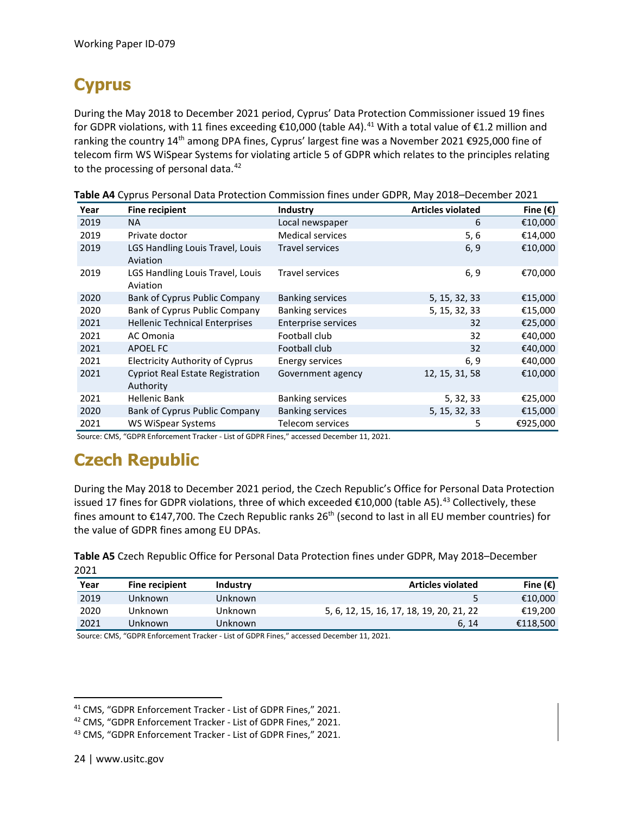# **Cyprus**

During the May 2018 to December 2021 period, Cyprus' Data Protection Commissioner issued 19 fines for GDPR violations, with 11 fines exceeding €10,000 (table A4).<sup>[41](#page-27-0)</sup> With a total value of €1.2 million and ranking the country 14<sup>th</sup> among DPA fines, Cyprus' largest fine was a November 2021 €925,000 fine of telecom firm WS WiSpear Systems for violating article 5 of GDPR which relates to the principles relating to the processing of personal data.<sup>[42](#page-27-1)</sup>

| Year | <b>Fine recipient</b>                                | Industry                   | <b>Articles violated</b> | Fine $(\epsilon)$ |
|------|------------------------------------------------------|----------------------------|--------------------------|-------------------|
| 2019 | <b>NA</b>                                            | Local newspaper            | 6                        | €10,000           |
| 2019 | Private doctor                                       | <b>Medical services</b>    | 5,6                      | €14,000           |
| 2019 | LGS Handling Louis Travel, Louis<br>Aviation         | <b>Travel services</b>     | 6, 9                     | €10,000           |
| 2019 | LGS Handling Louis Travel, Louis<br>Aviation         | <b>Travel services</b>     | 6, 9                     | €70,000           |
| 2020 | Bank of Cyprus Public Company                        | <b>Banking services</b>    | 5, 15, 32, 33            | €15,000           |
| 2020 | Bank of Cyprus Public Company                        | <b>Banking services</b>    | 5, 15, 32, 33            | €15,000           |
| 2021 | <b>Hellenic Technical Enterprises</b>                | <b>Enterprise services</b> | 32                       | €25,000           |
| 2021 | AC Omonia                                            | Football club              | 32                       | €40,000           |
| 2021 | APOEL FC                                             | Football club              | 32                       | €40,000           |
| 2021 | <b>Electricity Authority of Cyprus</b>               | <b>Energy services</b>     | 6, 9                     | €40,000           |
| 2021 | <b>Cypriot Real Estate Registration</b><br>Authority | Government agency          | 12, 15, 31, 58           | €10,000           |
| 2021 | <b>Hellenic Bank</b>                                 | <b>Banking services</b>    | 5, 32, 33                | €25,000           |
| 2020 | Bank of Cyprus Public Company                        | <b>Banking services</b>    | 5, 15, 32, 33            | €15,000           |
| 2021 | WS WiSpear Systems                                   | Telecom services           | 5                        | €925,000          |

**Table A4** Cyprus Personal Data Protection Commission fines under GDPR, May 2018–December 2021

Source: CMS, "GDPR Enforcement Tracker - List of GDPR Fines," accessed December 11, 2021.

#### **Czech Republic**

During the May 2018 to December 2021 period, the Czech Republic's Office for Personal Data Protection issued 17 fines for GDPR violations, three of which exceeded  $\epsilon$ 10,000 (table A5).<sup>[43](#page-27-2)</sup> Collectively, these fines amount to  $E147,700$ . The Czech Republic ranks 26<sup>th</sup> (second to last in all EU member countries) for the value of GDPR fines among EU DPAs.

**Table A5** Czech Republic Office for Personal Data Protection fines under GDPR, May 2018–December 2021

| Year | Fine recipient | <b>Industry</b> | <b>Articles violated</b>                 | Fine $(\epsilon)$ |
|------|----------------|-----------------|------------------------------------------|-------------------|
| 2019 | Unknown        | Unknown         |                                          | €10.000           |
| 2020 | Unknown        | Unknown         | 5, 6, 12, 15, 16, 17, 18, 19, 20, 21, 22 | €19,200           |
| 2021 | Unknown        | Unknown         | 6.14                                     | €118,500          |

Source: CMS, "GDPR Enforcement Tracker - List of GDPR Fines," accessed December 11, 2021.

<span id="page-27-0"></span><sup>41</sup> CMS, "GDPR Enforcement Tracker - List of GDPR Fines," 2021.

<span id="page-27-1"></span><sup>42</sup> CMS, "GDPR Enforcement Tracker - List of GDPR Fines," 2021.

<span id="page-27-2"></span><sup>43</sup> CMS, "GDPR Enforcement Tracker - List of GDPR Fines," 2021.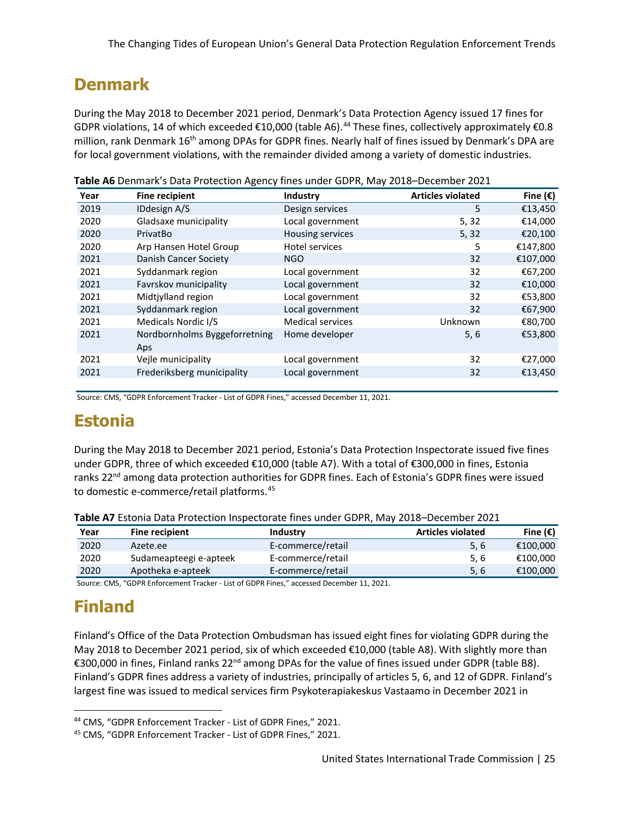#### **Denmark**

During the May 2018 to December 2021 period, Denmark's Data Protection Agency issued 17 fines for GDPR violations, 14 of which exceeded €10,000 (table A6).<sup>[44](#page-28-0)</sup> These fines, collectively approximately €0.8 million, rank Denmark 16<sup>th</sup> among DPAs for GDPR fines. Nearly half of fines issued by Denmark's DPA are for local government violations, with the remainder divided among a variety of domestic industries.

| Year | <b>Fine recipient</b>         | Industry                | <b>Articles violated</b> | Fine $(\epsilon)$ |
|------|-------------------------------|-------------------------|--------------------------|-------------------|
| 2019 | <b>IDdesign A/S</b>           | Design services         | 5                        | €13,450           |
| 2020 | Gladsaxe municipality         | Local government        | 5, 32                    | €14,000           |
| 2020 | PrivatBo                      | Housing services        | 5, 32                    | €20,100           |
| 2020 | Arp Hansen Hotel Group        | <b>Hotel services</b>   | 5                        | €147,800          |
| 2021 | Danish Cancer Society         | NGO                     | 32                       | €107,000          |
| 2021 | Syddanmark region             | Local government        | 32                       | €67,200           |
| 2021 | Favrskov municipality         | Local government        | 32                       | €10,000           |
| 2021 | Midtjylland region            | Local government        | 32                       | €53,800           |
| 2021 | Syddanmark region             | Local government        | 32                       | €67,900           |
| 2021 | Medicals Nordic I/S           | <b>Medical services</b> | Unknown                  | €80,700           |
| 2021 | Nordbornholms Byggeforretning | Home developer          | 5, 6                     | €53,800           |
|      | Aps                           |                         |                          |                   |
| 2021 | Veile municipality            | Local government        | 32                       | €27,000           |
| 2021 | Frederiksberg municipality    | Local government        | 32                       | €13,450           |
|      |                               |                         |                          |                   |

**Table A6** Denmark's Data Protection Agency fines under GDPR, May 2018–December 2021

Source: CMS, "GDPR Enforcement Tracker - List of GDPR Fines," accessed December 11, 2021.

#### **Estonia**

During the May 2018 to December 2021 period, Estonia's Data Protection Inspectorate issued five fines under GDPR, three of which exceeded €10,000 (table A7). With a total of €300,000 in fines, Estonia ranks 22<sup>nd</sup> among data protection authorities for GDPR fines. Each of Estonia's GDPR fines were issued to domestic e-commerce/retail platforms.[45](#page-28-1)

|      | <b>Table AT ESCOTIO Data FTOLCOLOH INSPECTORIE THICS UNUCL ODITI, IVIOY 2010 DECEMBER 2021</b> |                   |                          |                   |  |
|------|------------------------------------------------------------------------------------------------|-------------------|--------------------------|-------------------|--|
| Year | <b>Fine recipient</b>                                                                          | <b>Industry</b>   | <b>Articles violated</b> | Fine $(\epsilon)$ |  |
| 2020 | Azete.ee                                                                                       | E-commerce/retail | 5.6                      | €100.000          |  |
| 2020 | Sudameapteegi e-apteek                                                                         | E-commerce/retail | 5.6                      | €100.000          |  |
| 2020 | Apotheka e-apteek                                                                              | E-commerce/retail | 5.6                      | €100,000          |  |

**Table A7** Estonia Data Protection Inspectorate fines under GDPR, May 2018–December 2021

Source: CMS, "GDPR Enforcement Tracker - List of GDPR Fines," accessed December 11, 2021.

# **Finland**

Finland's Office of the Data Protection Ombudsman has issued eight fines for violating GDPR during the May 2018 to December 2021 period, six of which exceeded €10,000 (table A8). With slightly more than €300,000 in fines, Finland ranks 22nd among DPAs for the value of fines issued under GDPR (table B8). Finland's GDPR fines address a variety of industries, principally of articles 5, 6, and 12 of GDPR. Finland's largest fine was issued to medical services firm Psykoterapiakeskus Vastaamo in December 2021 in

<span id="page-28-0"></span><sup>44</sup> CMS, "GDPR Enforcement Tracker - List of GDPR Fines," 2021.

<span id="page-28-1"></span><sup>45</sup> CMS, "GDPR Enforcement Tracker - List of GDPR Fines," 2021.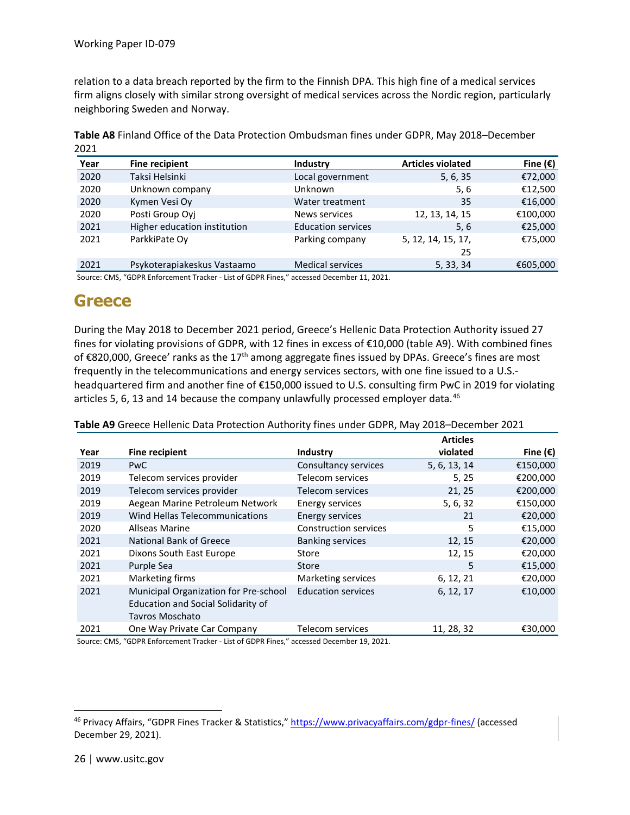relation to a data breach reported by the firm to the Finnish DPA. This high fine of a medical services firm aligns closely with similar strong oversight of medical services across the Nordic region, particularly neighboring Sweden and Norway.

| Year | <b>Fine recipient</b>        | Industry                  | <b>Articles violated</b> | Fine $(\epsilon)$ |
|------|------------------------------|---------------------------|--------------------------|-------------------|
| 2020 | Taksi Helsinki               | Local government          | 5, 6, 35                 | €72,000           |
| 2020 | Unknown company              | Unknown                   | 5, 6                     | €12,500           |
| 2020 | Kymen Vesi Oy                | Water treatment           | 35                       | €16,000           |
| 2020 | Posti Group Oyj              | News services             | 12, 13, 14, 15           | €100,000          |
| 2021 | Higher education institution | <b>Education services</b> | 5,6                      | €25,000           |
| 2021 | ParkkiPate Oy                | Parking company           | 5, 12, 14, 15, 17,<br>25 | €75,000           |
| 2021 | Psykoterapiakeskus Vastaamo  | <b>Medical services</b>   | 5, 33, 34                | €605,000          |

**Table A8** Finland Office of the Data Protection Ombudsman fines under GDPR, May 2018–December 2021

Source: CMS, "GDPR Enforcement Tracker - List of GDPR Fines," accessed December 11, 2021.

#### **Greece**

During the May 2018 to December 2021 period, Greece's Hellenic Data Protection Authority issued 27 fines for violating provisions of GDPR, with 12 fines in excess of €10,000 (table A9). With combined fines of  $\epsilon$ 820,000, Greece' ranks as the 17<sup>th</sup> among aggregate fines issued by DPAs. Greece's fines are most frequently in the telecommunications and energy services sectors, with one fine issued to a U.S. headquartered firm and another fine of €150,000 issued to U.S. consulting firm PwC in 2019 for violating articles 5, 6, 13 and 14 because the company unlawfully processed employer data.<sup>[46](#page-29-0)</sup>

**Table A9** Greece Hellenic Data Protection Authority fines under GDPR, May 2018–December 2021

|      |                                                                                                       |                              | <b>Articles</b> |                   |
|------|-------------------------------------------------------------------------------------------------------|------------------------------|-----------------|-------------------|
| Year | <b>Fine recipient</b>                                                                                 | Industry                     | violated        | Fine $(\epsilon)$ |
| 2019 | <b>PwC</b>                                                                                            | Consultancy services         | 5, 6, 13, 14    | €150,000          |
| 2019 | Telecom services provider                                                                             | Telecom services             | 5, 25           | €200,000          |
| 2019 | Telecom services provider                                                                             | Telecom services             | 21, 25          | €200,000          |
| 2019 | Aegean Marine Petroleum Network                                                                       | Energy services              | 5, 6, 32        | €150,000          |
| 2019 | Wind Hellas Telecommunications                                                                        | <b>Energy services</b>       | 21              | €20,000           |
| 2020 | Allseas Marine                                                                                        | <b>Construction services</b> | 5               | €15,000           |
| 2021 | National Bank of Greece                                                                               | <b>Banking services</b>      | 12, 15          | €20,000           |
| 2021 | Dixons South East Europe                                                                              | Store                        | 12, 15          | €20,000           |
| 2021 | Purple Sea                                                                                            | Store                        | 5               | €15,000           |
| 2021 | Marketing firms                                                                                       | Marketing services           | 6, 12, 21       | €20,000           |
| 2021 | Municipal Organization for Pre-school<br>Education and Social Solidarity of<br><b>Tavros Moschato</b> | <b>Education services</b>    | 6, 12, 17       | €10,000           |
| 2021 | One Way Private Car Company                                                                           | Telecom services             | 11, 28, 32      | €30,000           |

Source: CMS, "GDPR Enforcement Tracker - List of GDPR Fines," accessed December 19, 2021.

<span id="page-29-0"></span><sup>46</sup> Privacy Affairs, "GDPR Fines Tracker & Statistics,"<https://www.privacyaffairs.com/gdpr-fines/> (accessed December 29, 2021).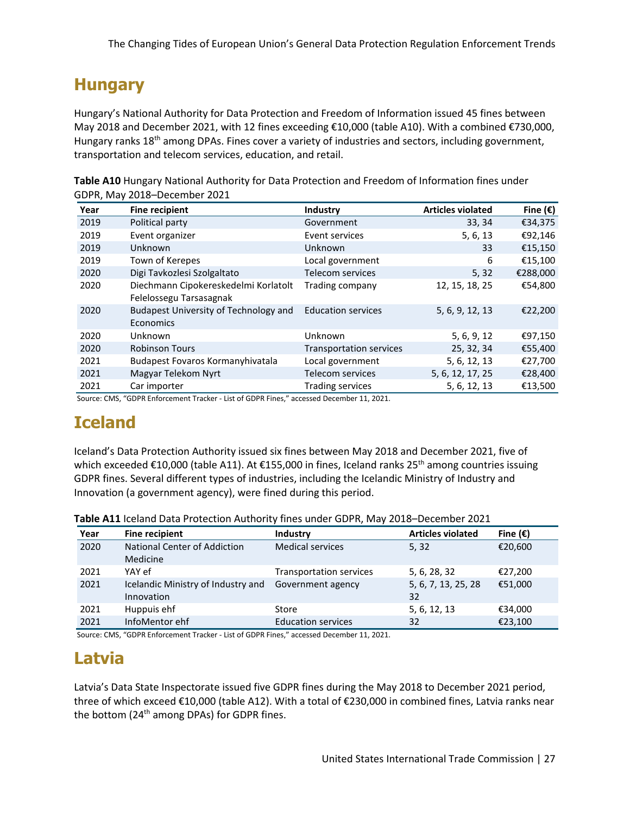# **Hungary**

Hungary's National Authority for Data Protection and Freedom of Information issued 45 fines between May 2018 and December 2021, with 12 fines exceeding €10,000 (table A10). With a combined €730,000, Hungary ranks 18<sup>th</sup> among DPAs. Fines cover a variety of industries and sectors, including government, transportation and telecom services, education, and retail.

**Table A10** Hungary National Authority for Data Protection and Freedom of Information fines under GDPR, May 2018–December 2021

| Year | <b>Fine recipient</b>                 | Industry                       | <b>Articles violated</b> | Fine $(\epsilon)$ |
|------|---------------------------------------|--------------------------------|--------------------------|-------------------|
| 2019 | Political party                       | Government                     | 33, 34                   | €34,375           |
| 2019 | Event organizer                       | Event services                 | 5, 6, 13                 | €92,146           |
| 2019 | Unknown                               | Unknown                        | 33                       | €15,150           |
| 2019 | Town of Kerepes                       | Local government               | 6                        | €15,100           |
| 2020 | Digi Tavkozlesi Szolgaltato           | Telecom services               | 5, 32                    | €288,000          |
| 2020 | Diechmann Cipokereskedelmi Korlatolt  | Trading company                | 12, 15, 18, 25           | €54,800           |
|      | Felelossegu Tarsasagnak               |                                |                          |                   |
| 2020 | Budapest University of Technology and | <b>Education services</b>      | 5, 6, 9, 12, 13          | €22,200           |
|      | Economics                             |                                |                          |                   |
| 2020 | Unknown                               | Unknown                        | 5, 6, 9, 12              | €97,150           |
| 2020 | <b>Robinson Tours</b>                 | <b>Transportation services</b> | 25, 32, 34               | €55,400           |
| 2021 | Budapest Fovaros Kormanyhivatala      | Local government               | 5, 6, 12, 13             | €27,700           |
| 2021 | Magyar Telekom Nyrt                   | Telecom services               | 5, 6, 12, 17, 25         | €28,400           |
| 2021 | Car importer                          | <b>Trading services</b>        | 5, 6, 12, 13             | €13,500           |

Source: CMS, "GDPR Enforcement Tracker - List of GDPR Fines," accessed December 11, 2021.

#### **Iceland**

Iceland's Data Protection Authority issued six fines between May 2018 and December 2021, five of which exceeded €10,000 (table A11). At €155,000 in fines, Iceland ranks 25<sup>th</sup> among countries issuing GDPR fines. Several different types of industries, including the Icelandic Ministry of Industry and Innovation (a government agency), were fined during this period.

| Year | <b>Fine recipient</b>                            | Industry                       | <b>Articles violated</b>  | Fine $(\epsilon)$ |
|------|--------------------------------------------------|--------------------------------|---------------------------|-------------------|
| 2020 | <b>National Center of Addiction</b><br>Medicine  | <b>Medical services</b>        | 5, 32                     | €20,600           |
| 2021 | YAY ef                                           | <b>Transportation services</b> | 5, 6, 28, 32              | €27,200           |
| 2021 | Icelandic Ministry of Industry and<br>Innovation | Government agency              | 5, 6, 7, 13, 25, 28<br>32 | €51,000           |
| 2021 | Huppuis ehf                                      | Store                          | 5, 6, 12, 13              | €34,000           |
| 2021 | InfoMentor ehf                                   | <b>Education services</b>      | 32                        | €23,100           |

**Table A11** Iceland Data Protection Authority fines under GDPR, May 2018–December 2021

Source: CMS, "GDPR Enforcement Tracker - List of GDPR Fines," accessed December 11, 2021.

# **Latvia**

Latvia's Data State Inspectorate issued five GDPR fines during the May 2018 to December 2021 period, three of which exceed €10,000 (table A12). With a total of €230,000 in combined fines, Latvia ranks near the bottom (24<sup>th</sup> among DPAs) for GDPR fines.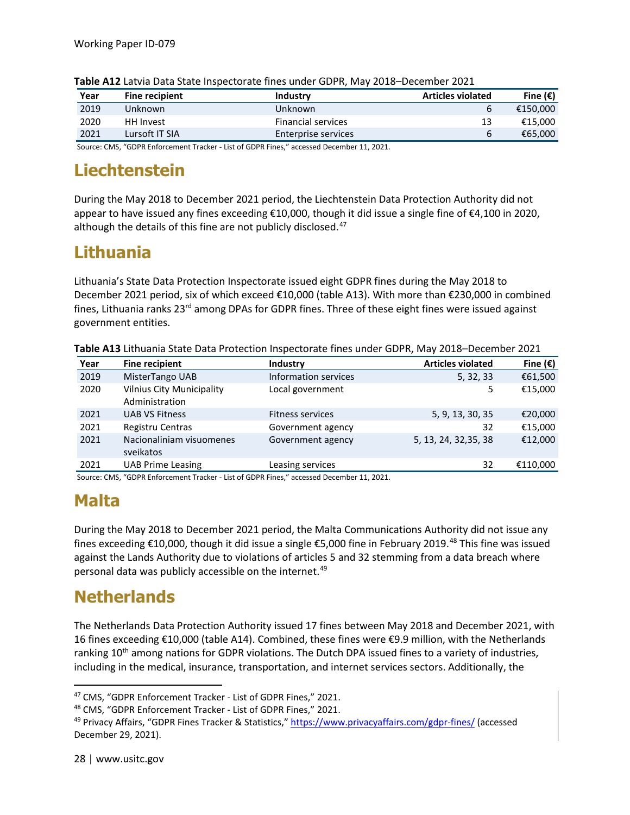| Year | <b>Fine recipient</b> | Industry                  | <b>Articles violated</b> | Fine $(\epsilon)$ |
|------|-----------------------|---------------------------|--------------------------|-------------------|
| 2019 | Unknown               | Unknown                   |                          | €150.000          |
| 2020 | HH Invest             | <b>Financial services</b> | 13                       | €15.000           |
| 2021 | Lursoft IT SIA        | Enterprise services       | 6                        | €65,000           |

**Table A12** Latvia Data State Inspectorate fines under GDPR, May 2018–December 2021

Source: CMS, "GDPR Enforcement Tracker - List of GDPR Fines," accessed December 11, 2021.

#### **Liechtenstein**

During the May 2018 to December 2021 period, the Liechtenstein Data Protection Authority did not appear to have issued any fines exceeding €10,000, though it did issue a single fine of €4,100 in 2020, although the details of this fine are not publicly disclosed.<sup>[47](#page-31-0)</sup>

# **Lithuania**

Lithuania's State Data Protection Inspectorate issued eight GDPR fines during the May 2018 to December 2021 period, six of which exceed €10,000 (table A13). With more than €230,000 in combined fines, Lithuania ranks  $23<sup>rd</sup>$  among DPAs for GDPR fines. Three of these eight fines were issued against government entities.

| Year | <b>Fine recipient</b>                              | Industry                | <b>Articles violated</b> | Fine $(\epsilon)$ |
|------|----------------------------------------------------|-------------------------|--------------------------|-------------------|
| 2019 | MisterTango UAB                                    | Information services    | 5, 32, 33                | €61,500           |
| 2020 | <b>Vilnius City Municipality</b><br>Administration | Local government        | 5                        | €15,000           |
| 2021 | <b>UAB VS Fitness</b>                              | <b>Fitness services</b> | 5, 9, 13, 30, 35         | €20,000           |
| 2021 | Registru Centras                                   | Government agency       | 32                       | €15,000           |
| 2021 | Nacionaliniam visuomenes<br>sveikatos              | Government agency       | 5, 13, 24, 32, 35, 38    | €12,000           |
| 2021 | <b>UAB Prime Leasing</b>                           | Leasing services        | 32                       | €110.000          |

**Table A13** Lithuania State Data Protection Inspectorate fines under GDPR, May 2018–December 2021

Source: CMS, "GDPR Enforcement Tracker - List of GDPR Fines," accessed December 11, 2021.

#### **Malta**

During the May 2018 to December 2021 period, the Malta Communications Authority did not issue any fines exceeding €10,000, though it did issue a single €5,000 fine in February 2019.[48](#page-31-1) This fine was issued against the Lands Authority due to violations of articles 5 and 32 stemming from a data breach where personal data was publicly accessible on the internet.<sup>[49](#page-31-2)</sup>

# **Netherlands**

The Netherlands Data Protection Authority issued 17 fines between May 2018 and December 2021, with 16 fines exceeding €10,000 (table A14). Combined, these fines were €9.9 million, with the Netherlands ranking 10<sup>th</sup> among nations for GDPR violations. The Dutch DPA issued fines to a variety of industries, including in the medical, insurance, transportation, and internet services sectors. Additionally, the

<span id="page-31-0"></span><sup>47</sup> CMS, "GDPR Enforcement Tracker - List of GDPR Fines," 2021.

<span id="page-31-1"></span><sup>48</sup> CMS, "GDPR Enforcement Tracker - List of GDPR Fines," 2021.

<span id="page-31-2"></span><sup>&</sup>lt;sup>49</sup> Privacy Affairs, "GDPR Fines Tracker & Statistics,"<https://www.privacyaffairs.com/gdpr-fines/> (accessed December 29, 2021).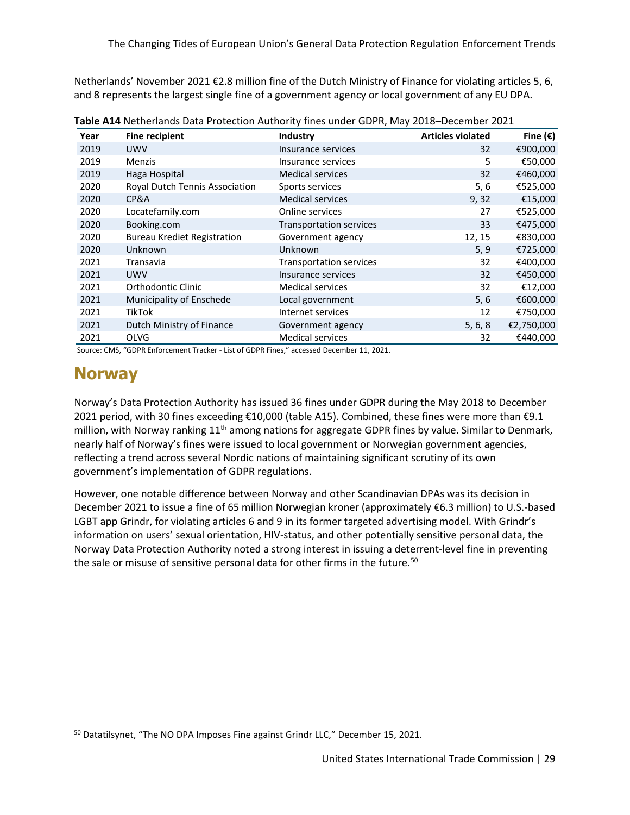Netherlands' November 2021 €2.8 million fine of the Dutch Ministry of Finance for violating articles 5, 6, and 8 represents the largest single fine of a government agency or local government of any EU DPA.

| Year | <b>Fine recipient</b>              | Industry                       | <b>Articles violated</b> | Fine $(\epsilon)$ |
|------|------------------------------------|--------------------------------|--------------------------|-------------------|
| 2019 | <b>UWV</b>                         | Insurance services             | 32                       | €900,000          |
| 2019 | <b>Menzis</b>                      | Insurance services             | 5                        | €50,000           |
| 2019 | Haga Hospital                      | <b>Medical services</b>        | 32                       | €460,000          |
| 2020 | Royal Dutch Tennis Association     | Sports services                | 5, 6                     | €525,000          |
| 2020 | CP&A                               | <b>Medical services</b>        | 9,32                     | €15,000           |
| 2020 | Locatefamily.com                   | Online services                | 27                       | €525,000          |
| 2020 | Booking.com                        | <b>Transportation services</b> | 33                       | €475,000          |
| 2020 | <b>Bureau Krediet Registration</b> | Government agency              | 12, 15                   | €830,000          |
| 2020 | Unknown                            | Unknown                        | 5, 9                     | €725,000          |
| 2021 | Transavia                          | <b>Transportation services</b> | 32                       | €400,000          |
| 2021 | <b>UWV</b>                         | Insurance services             | 32                       | €450,000          |
| 2021 | Orthodontic Clinic                 | <b>Medical services</b>        | 32                       | €12,000           |
| 2021 | Municipality of Enschede           | Local government               | 5, 6                     | €600,000          |
| 2021 | TikTok                             | Internet services              | 12                       | €750,000          |
| 2021 | Dutch Ministry of Finance          | Government agency              | 5, 6, 8                  | €2,750,000        |
| 2021 | <b>OLVG</b>                        | <b>Medical services</b>        | 32                       | €440,000          |

**Table A14** Netherlands Data Protection Authority fines under GDPR, May 2018–December 2021

Source: CMS, "GDPR Enforcement Tracker - List of GDPR Fines," accessed December 11, 2021.

#### **Norway**

Norway's Data Protection Authority has issued 36 fines under GDPR during the May 2018 to December 2021 period, with 30 fines exceeding €10,000 (table A15). Combined, these fines were more than €9.1 million, with Norway ranking 11<sup>th</sup> among nations for aggregate GDPR fines by value. Similar to Denmark, nearly half of Norway's fines were issued to local government or Norwegian government agencies, reflecting a trend across several Nordic nations of maintaining significant scrutiny of its own government's implementation of GDPR regulations.

However, one notable difference between Norway and other Scandinavian DPAs was its decision in December 2021 to issue a fine of 65 million Norwegian kroner (approximately €6.3 million) to U.S.-based LGBT app Grindr, for violating articles 6 and 9 in its former targeted advertising model. With Grindr's information on users' sexual orientation, HIV-status, and other potentially sensitive personal data, the Norway Data Protection Authority noted a strong interest in issuing a deterrent-level fine in preventing the sale or misuse of sensitive personal data for other firms in the future.<sup>[50](#page-32-0)</sup>

<span id="page-32-0"></span><sup>&</sup>lt;sup>50</sup> Datatilsynet, "The NO DPA Imposes Fine against Grindr LLC," December 15, 2021.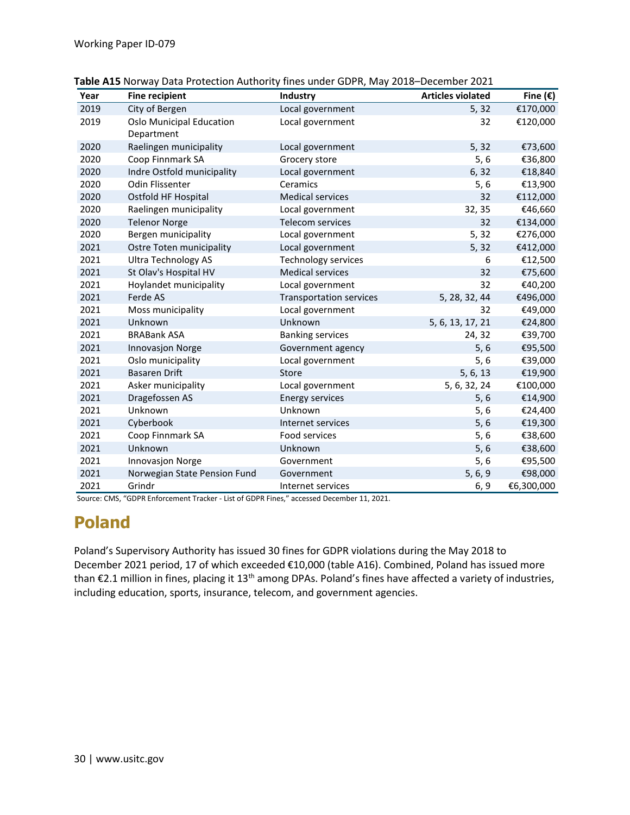| Year | <b>Fine recipient</b>                  | Industry                       | <b>Articles violated</b> | Fine $(\epsilon)$ |
|------|----------------------------------------|--------------------------------|--------------------------|-------------------|
| 2019 | City of Bergen                         | Local government               | 5, 32                    | €170,000          |
| 2019 | Oslo Municipal Education<br>Department | Local government               | 32                       | €120,000          |
| 2020 | Raelingen municipality                 | Local government               | 5, 32                    | €73,600           |
| 2020 | Coop Finnmark SA                       | Grocery store                  | 5, 6                     | €36,800           |
| 2020 | Indre Ostfold municipality             | Local government               | 6,32                     | €18,840           |
| 2020 | Odin Flissenter                        | Ceramics                       | 5,6                      | €13,900           |
| 2020 | Ostfold HF Hospital                    | <b>Medical services</b>        | 32                       | €112,000          |
| 2020 | Raelingen municipality                 | Local government               | 32, 35                   | €46,660           |
| 2020 | <b>Telenor Norge</b>                   | Telecom services               | 32                       | €134,000          |
| 2020 | Bergen municipality                    | Local government               | 5, 32                    | €276,000          |
| 2021 | Ostre Toten municipality               | Local government               | 5, 32                    | €412,000          |
| 2021 | <b>Ultra Technology AS</b>             | <b>Technology services</b>     | 6                        | €12,500           |
| 2021 | St Olav's Hospital HV                  | <b>Medical services</b>        | 32                       | €75,600           |
| 2021 | Hoylandet municipality                 | Local government               | 32                       | €40,200           |
| 2021 | Ferde AS                               | <b>Transportation services</b> | 5, 28, 32, 44            | €496,000          |
| 2021 | Moss municipality                      | Local government               | 32                       | €49,000           |
| 2021 | Unknown                                | Unknown                        | 5, 6, 13, 17, 21         | €24,800           |
| 2021 | <b>BRABank ASA</b>                     | <b>Banking services</b>        | 24, 32                   | €39,700           |
| 2021 | <b>Innovasjon Norge</b>                | Government agency              | 5, 6                     | €95,500           |
| 2021 | Oslo municipality                      | Local government               | 5,6                      | €39,000           |
| 2021 | <b>Basaren Drift</b>                   | Store                          | 5, 6, 13                 | €19,900           |
| 2021 | Asker municipality                     | Local government               | 5, 6, 32, 24             | €100,000          |
| 2021 | Dragefossen AS                         | <b>Energy services</b>         | 5,6                      | €14,900           |
| 2021 | Unknown                                | Unknown                        | 5,6                      | €24,400           |
| 2021 | Cyberbook                              | Internet services              | 5, 6                     | €19,300           |
| 2021 | Coop Finnmark SA                       | Food services                  | 5,6                      | €38,600           |
| 2021 | Unknown                                | Unknown                        | 5, 6                     | €38,600           |
| 2021 | Innovasjon Norge                       | Government                     | 5, 6                     | €95,500           |
| 2021 | Norwegian State Pension Fund           | Government                     | 5, 6, 9                  | €98,000           |
| 2021 | Grindr                                 | Internet services              | 6, 9                     | €6,300,000        |

| Table A15 Norway Data Protection Authority fines under GDPR, May 2018-December 2021 |  |  |  |
|-------------------------------------------------------------------------------------|--|--|--|
|-------------------------------------------------------------------------------------|--|--|--|

Source: CMS, "GDPR Enforcement Tracker - List of GDPR Fines," accessed December 11, 2021.

# **Poland**

Poland's Supervisory Authority has issued 30 fines for GDPR violations during the May 2018 to December 2021 period, 17 of which exceeded €10,000 (table A16). Combined, Poland has issued more than €2.1 million in fines, placing it 13<sup>th</sup> among DPAs. Poland's fines have affected a variety of industries, including education, sports, insurance, telecom, and government agencies.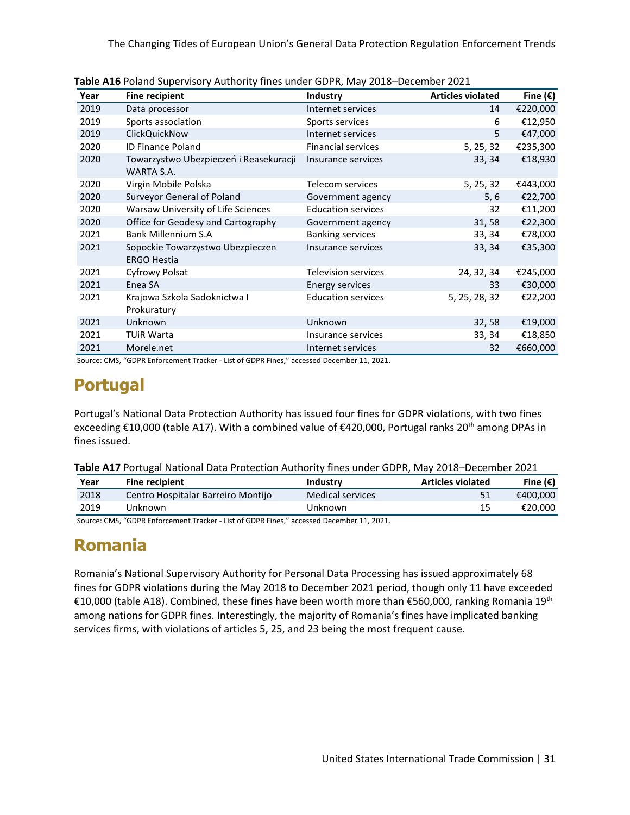The Changing Tides of European Union's General Data Protection Regulation Enforcement Trends

| Year | <b>Fine recipient</b>                                  | <b>Industry</b>            | <b>Articles violated</b> | Fine $(\epsilon)$ |
|------|--------------------------------------------------------|----------------------------|--------------------------|-------------------|
| 2019 | Data processor                                         | Internet services          | 14                       | €220,000          |
| 2019 | Sports association                                     | Sports services            | 6                        | €12,950           |
| 2019 | ClickQuickNow                                          | Internet services          | 5                        | €47,000           |
| 2020 | <b>ID Finance Poland</b>                               | <b>Financial services</b>  | 5, 25, 32                | €235,300          |
| 2020 | Towarzystwo Ubezpieczeń i Reasekuracji<br>WARTA S.A.   | Insurance services         | 33, 34                   | €18,930           |
| 2020 | Virgin Mobile Polska                                   | Telecom services           | 5, 25, 32                | €443,000          |
| 2020 | Surveyor General of Poland                             | Government agency          | 5, 6                     | €22,700           |
| 2020 | Warsaw University of Life Sciences                     | <b>Education services</b>  | 32                       | €11,200           |
| 2020 | Office for Geodesy and Cartography                     | Government agency          | 31,58                    | €22,300           |
| 2021 | Bank Millennium S.A                                    | <b>Banking services</b>    | 33, 34                   | €78,000           |
| 2021 | Sopockie Towarzystwo Ubezpieczen<br><b>ERGO Hestia</b> | Insurance services         | 33, 34                   | €35,300           |
| 2021 | Cyfrowy Polsat                                         | <b>Television services</b> | 24, 32, 34               | €245,000          |
| 2021 | Enea SA                                                | <b>Energy services</b>     | 33                       | €30,000           |
| 2021 | Krajowa Szkola Sadoknictwa I<br>Prokuratury            | <b>Education services</b>  | 5, 25, 28, 32            | €22,200           |
| 2021 | Unknown                                                | Unknown                    | 32,58                    | €19,000           |
| 2021 | <b>TUIR Warta</b>                                      | Insurance services         | 33, 34                   | €18,850           |
| 2021 | Morele.net                                             | Internet services          | 32                       | €660,000          |

**Table A16** Poland Supervisory Authority fines under GDPR, May 2018–December 2021

Source: CMS, "GDPR Enforcement Tracker - List of GDPR Fines," accessed December 11, 2021.

### **Portugal**

Portugal's National Data Protection Authority has issued four fines for GDPR violations, with two fines exceeding €10,000 (table A17). With a combined value of €420,000, Portugal ranks 20<sup>th</sup> among DPAs in fines issued.

| Year | <b>Fine recipient</b>              | Industry                | <b>Articles violated</b> | Fine $(\epsilon)$ |
|------|------------------------------------|-------------------------|--------------------------|-------------------|
| 2018 | Centro Hospitalar Barreiro Montijo | <b>Medical services</b> |                          | €400.000          |
| 2019 | Unknown                            | Unknown                 | 15                       | €20.000           |

Source: CMS, "GDPR Enforcement Tracker - List of GDPR Fines," accessed December 11, 2021.

#### **Romania**

Romania's National Supervisory Authority for Personal Data Processing has issued approximately 68 fines for GDPR violations during the May 2018 to December 2021 period, though only 11 have exceeded €10,000 (table A18). Combined, these fines have been worth more than €560,000, ranking Romania 19<sup>th</sup> among nations for GDPR fines. Interestingly, the majority of Romania's fines have implicated banking services firms, with violations of articles 5, 25, and 23 being the most frequent cause.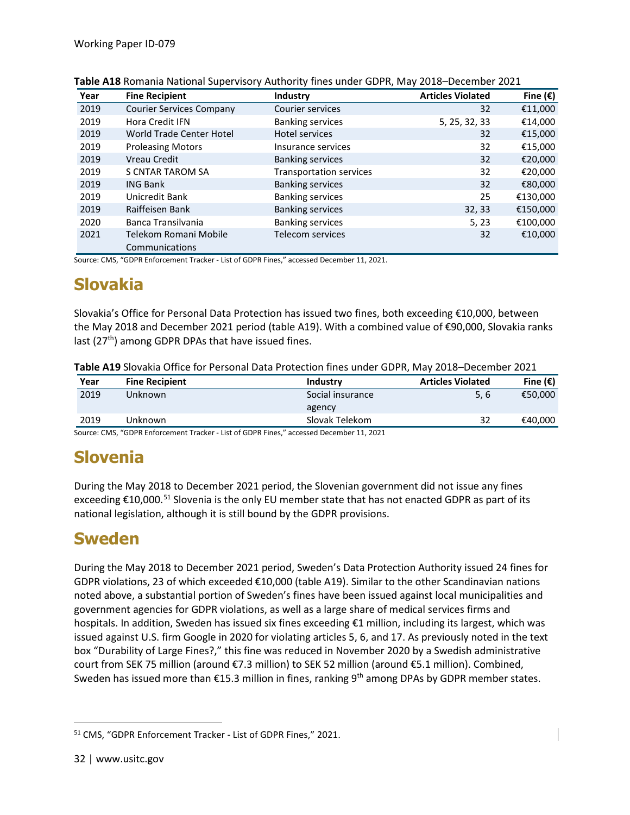| Year | <b>Fine Recipient</b>                   | Industry                | <b>Articles Violated</b> | Fine $(\epsilon)$ |
|------|-----------------------------------------|-------------------------|--------------------------|-------------------|
| 2019 | <b>Courier Services Company</b>         | Courier services        | 32                       | €11,000           |
| 2019 | Hora Credit IFN                         | <b>Banking services</b> | 5, 25, 32, 33            | €14,000           |
| 2019 | World Trade Center Hotel                | Hotel services          | 32                       | €15,000           |
| 2019 | <b>Proleasing Motors</b>                | Insurance services      | 32                       | €15,000           |
| 2019 | Vreau Credit                            | <b>Banking services</b> | 32                       | €20,000           |
| 2019 | <b>S CNTAR TAROM SA</b>                 | Transportation services | 32                       | €20,000           |
| 2019 | <b>ING Bank</b>                         | <b>Banking services</b> | 32                       | €80,000           |
| 2019 | Unicredit Bank                          | <b>Banking services</b> | 25                       | €130,000          |
| 2019 | Raiffeisen Bank                         | <b>Banking services</b> | 32, 33                   | €150,000          |
| 2020 | Banca Transilvania                      | <b>Banking services</b> | 5, 23                    | €100,000          |
| 2021 | Telekom Romani Mobile<br>Communications | <b>Telecom services</b> | 32                       | €10,000           |

| Table A18 Romania National Supervisory Authority fines under GDPR, May 2018-December 2021 |  |  |  |
|-------------------------------------------------------------------------------------------|--|--|--|
|-------------------------------------------------------------------------------------------|--|--|--|

Source: CMS, "GDPR Enforcement Tracker - List of GDPR Fines," accessed December 11, 2021.

#### **Slovakia**

Slovakia's Office for Personal Data Protection has issued two fines, both exceeding €10,000, between the May 2018 and December 2021 period (table A19). With a combined value of €90,000, Slovakia ranks last  $(27<sup>th</sup>)$  among GDPR DPAs that have issued fines.

| Year | <b>Fine Recipient</b> | Industry         | <b>Articles Violated</b> | Fine $(\epsilon)$ |
|------|-----------------------|------------------|--------------------------|-------------------|
| 2019 | Unknown               | Social insurance | 5, 6                     | €50,000           |
|      |                       | agency           |                          |                   |
| 2019 | Unknown               | Slovak Telekom   | 32                       | €40,000           |
|      | ---- --------<br>____ | .<br>.           |                          |                   |

Source: CMS, "GDPR Enforcement Tracker - List of GDPR Fines," accessed December 11, 2021

# **Slovenia**

During the May 2018 to December 2021 period, the Slovenian government did not issue any fines exceeding  $\epsilon$ 10,000.<sup>[51](#page-35-0)</sup> Slovenia is the only EU member state that has not enacted GDPR as part of its national legislation, although it is still bound by the GDPR provisions.

#### **Sweden**

During the May 2018 to December 2021 period, Sweden's Data Protection Authority issued 24 fines for GDPR violations, 23 of which exceeded €10,000 (table A19). Similar to the other Scandinavian nations noted above, a substantial portion of Sweden's fines have been issued against local municipalities and government agencies for GDPR violations, as well as a large share of medical services firms and hospitals. In addition, Sweden has issued six fines exceeding €1 million, including its largest, which was issued against U.S. firm Google in 2020 for violating articles 5, 6, and 17. As previously noted in the text box "Durability of Large Fines?," this fine was reduced in November 2020 by a Swedish administrative court from SEK 75 million (around €7.3 million) to SEK 52 million (around €5.1 million). Combined, Sweden has issued more than  $£15.3$  million in fines, ranking 9<sup>th</sup> among DPAs by GDPR member states.

<span id="page-35-0"></span><sup>51</sup> CMS, "GDPR Enforcement Tracker - List of GDPR Fines," 2021.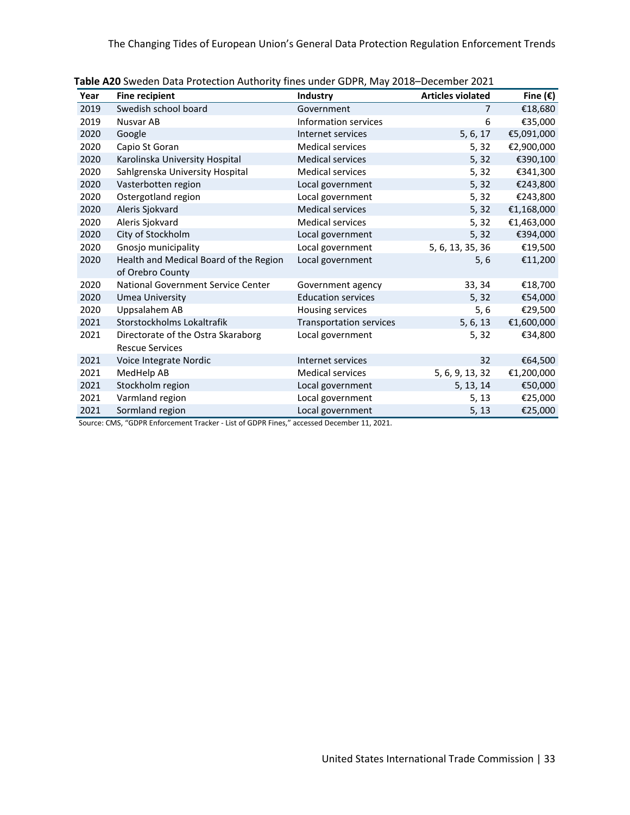The Changing Tides of European Union's General Data Protection Regulation Enforcement Trends

| Year | <b>Fine recipient</b>                  | Industry                       | <b>Articles violated</b> | Fine $(\epsilon)$ |
|------|----------------------------------------|--------------------------------|--------------------------|-------------------|
| 2019 | Swedish school board                   | Government                     | 7                        | €18,680           |
| 2019 | Nusvar AB                              | Information services           | 6                        | €35,000           |
| 2020 | Google                                 | Internet services              | 5, 6, 17                 | €5,091,000        |
| 2020 | Capio St Goran                         | <b>Medical services</b>        | 5, 32                    | €2,900,000        |
| 2020 | Karolinska University Hospital         | <b>Medical services</b>        | 5, 32                    | €390,100          |
| 2020 | Sahlgrenska University Hospital        | <b>Medical services</b>        | 5, 32                    | €341,300          |
| 2020 | Vasterbotten region                    | Local government               | 5, 32                    | €243,800          |
| 2020 | Ostergotland region                    | Local government               | 5, 32                    | €243,800          |
| 2020 | Aleris Sjokvard                        | <b>Medical services</b>        | 5, 32                    | €1,168,000        |
| 2020 | Aleris Sjokvard                        | <b>Medical services</b>        | 5, 32                    | €1,463,000        |
| 2020 | City of Stockholm                      | Local government               | 5, 32                    | €394,000          |
| 2020 | Gnosjo municipality                    | Local government               | 5, 6, 13, 35, 36         | €19,500           |
| 2020 | Health and Medical Board of the Region | Local government               | 5, 6                     | €11,200           |
|      | of Orebro County                       |                                |                          |                   |
| 2020 | National Government Service Center     | Government agency              | 33, 34                   | €18,700           |
| 2020 | Umea University                        | <b>Education services</b>      | 5,32                     | €54,000           |
| 2020 | Uppsalahem AB                          | Housing services               | 5,6                      | €29,500           |
| 2021 | Storstockholms Lokaltrafik             | <b>Transportation services</b> | 5, 6, 13                 | €1,600,000        |
| 2021 | Directorate of the Ostra Skaraborg     | Local government               | 5, 32                    | €34,800           |
|      | <b>Rescue Services</b>                 |                                |                          |                   |
| 2021 | Voice Integrate Nordic                 | Internet services              | 32                       | €64,500           |
| 2021 | MedHelp AB                             | <b>Medical services</b>        | 5, 6, 9, 13, 32          | €1,200,000        |
| 2021 | Stockholm region                       | Local government               | 5, 13, 14                | €50,000           |
| 2021 | Varmland region                        | Local government               | 5, 13                    | €25,000           |
| 2021 | Sormland region                        | Local government               | 5, 13                    | €25,000           |

Source: CMS, "GDPR Enforcement Tracker - List of GDPR Fines," accessed December 11, 2021.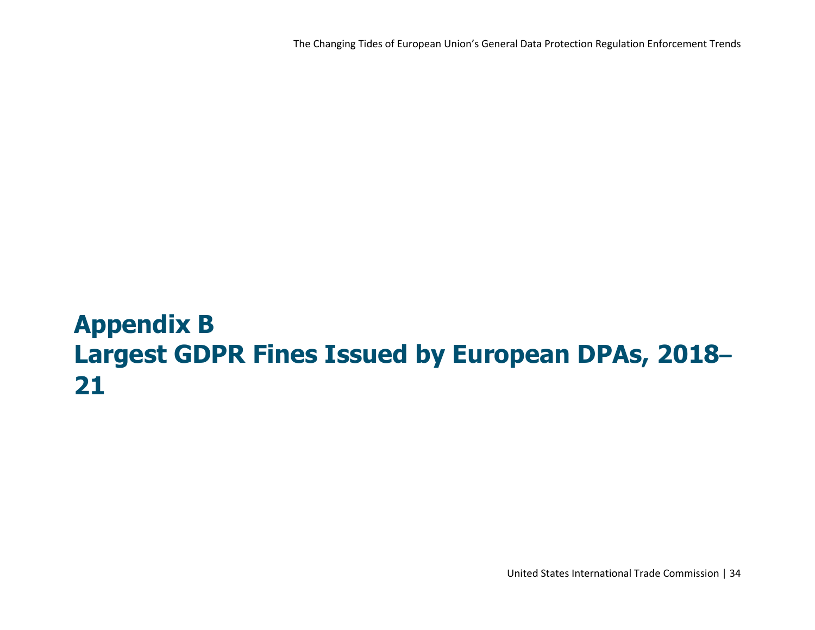The Changing Tides of European Union's General Data Protection Regulation Enforcement Trends

# **Appendix B Largest GDPR Fines Issued by European DPAs, 2018– 21**

United States International Trade Commission | 34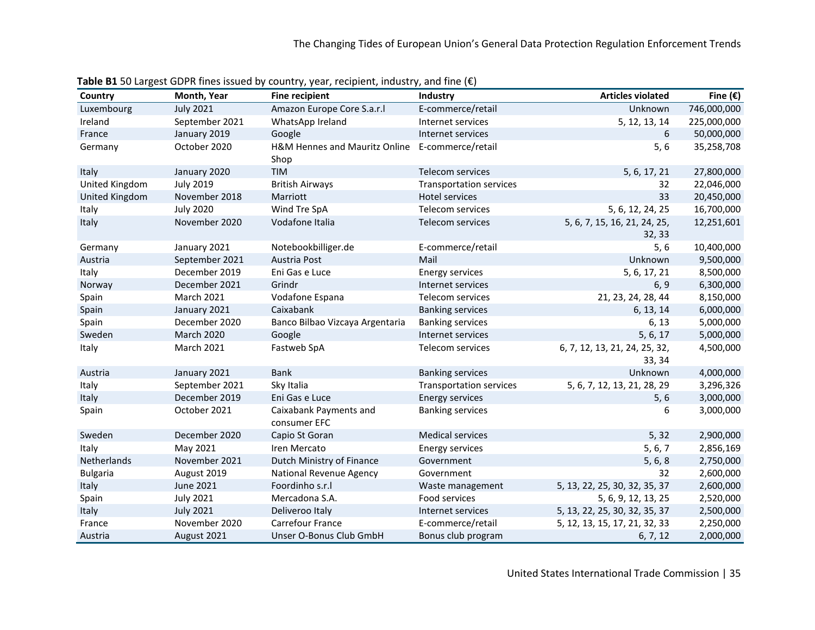| Country            | Month, Year       | <b>Fine recipient</b>                                   | Industry                       | <b>Articles violated</b>                | Fine $(\epsilon)$ |
|--------------------|-------------------|---------------------------------------------------------|--------------------------------|-----------------------------------------|-------------------|
| Luxembourg         | <b>July 2021</b>  | Amazon Europe Core S.a.r.l                              | E-commerce/retail              | Unknown                                 | 746,000,000       |
| Ireland            | September 2021    | WhatsApp Ireland                                        | Internet services              | 5, 12, 13, 14                           | 225,000,000       |
| France             | January 2019      | Google                                                  | Internet services              | 6                                       | 50,000,000        |
| Germany            | October 2020      | H&M Hennes and Mauritz Online E-commerce/retail<br>Shop |                                | 5, 6                                    | 35,258,708        |
| Italy              | January 2020      | TIM                                                     | Telecom services               | 5, 6, 17, 21                            | 27,800,000        |
| United Kingdom     | <b>July 2019</b>  | <b>British Airways</b>                                  | <b>Transportation services</b> | 32                                      | 22,046,000        |
| United Kingdom     | November 2018     | Marriott                                                | Hotel services                 | 33                                      | 20,450,000        |
| Italy              | <b>July 2020</b>  | Wind Tre SpA                                            | Telecom services               | 5, 6, 12, 24, 25                        | 16,700,000        |
| Italy              | November 2020     | Vodafone Italia                                         | Telecom services               | 5, 6, 7, 15, 16, 21, 24, 25,<br>32, 33  | 12,251,601        |
| Germany            | January 2021      | Notebookbilliger.de                                     | E-commerce/retail              | 5, 6                                    | 10,400,000        |
| Austria            | September 2021    | Austria Post                                            | Mail                           | Unknown                                 | 9,500,000         |
| Italy              | December 2019     | Eni Gas e Luce                                          | <b>Energy services</b>         | 5, 6, 17, 21                            | 8,500,000         |
| Norway             | December 2021     | Grindr                                                  | Internet services              | 6, 9                                    | 6,300,000         |
| Spain              | <b>March 2021</b> | Vodafone Espana                                         | Telecom services               | 21, 23, 24, 28, 44                      | 8,150,000         |
| Spain              | January 2021      | Caixabank                                               | <b>Banking services</b>        | 6, 13, 14                               | 6,000,000         |
| Spain              | December 2020     | Banco Bilbao Vizcaya Argentaria                         | <b>Banking services</b>        | 6, 13                                   | 5,000,000         |
| Sweden             | <b>March 2020</b> | Google                                                  | Internet services              | 5, 6, 17                                | 5,000,000         |
| Italy              | <b>March 2021</b> | Fastweb SpA                                             | Telecom services               | 6, 7, 12, 13, 21, 24, 25, 32,<br>33, 34 | 4,500,000         |
| Austria            | January 2021      | <b>Bank</b>                                             | <b>Banking services</b>        | Unknown                                 | 4,000,000         |
| Italy              | September 2021    | Sky Italia                                              | <b>Transportation services</b> | 5, 6, 7, 12, 13, 21, 28, 29             | 3,296,326         |
| Italy              | December 2019     | Eni Gas e Luce                                          | <b>Energy services</b>         | 5, 6                                    | 3,000,000         |
| Spain              | October 2021      | Caixabank Payments and<br>consumer EFC                  | <b>Banking services</b>        | 6                                       | 3,000,000         |
| Sweden             | December 2020     | Capio St Goran                                          | <b>Medical services</b>        | 5, 32                                   | 2,900,000         |
| Italy              | May 2021          | Iren Mercato                                            | <b>Energy services</b>         | 5, 6, 7                                 | 2,856,169         |
| <b>Netherlands</b> | November 2021     | Dutch Ministry of Finance                               | Government                     | 5, 6, 8                                 | 2,750,000         |
| <b>Bulgaria</b>    | August 2019       | National Revenue Agency                                 | Government                     | 32                                      | 2,600,000         |
| Italy              | June 2021         | Foordinho s.r.l                                         | Waste management               | 5, 13, 22, 25, 30, 32, 35, 37           | 2,600,000         |
| Spain              | <b>July 2021</b>  | Mercadona S.A.                                          | Food services                  | 5, 6, 9, 12, 13, 25                     | 2,520,000         |
| Italy              | <b>July 2021</b>  | Deliveroo Italy                                         | Internet services              | 5, 13, 22, 25, 30, 32, 35, 37           | 2,500,000         |
| France             | November 2020     | Carrefour France                                        | E-commerce/retail              | 5, 12, 13, 15, 17, 21, 32, 33           | 2,250,000         |
| Austria            | August 2021       | Unser O-Bonus Club GmbH                                 | Bonus club program             | 6, 7, 12                                | 2,000,000         |

**Table B1** 50 Largest GDPR fines issued by country, year, recipient, industry, and fine (€)